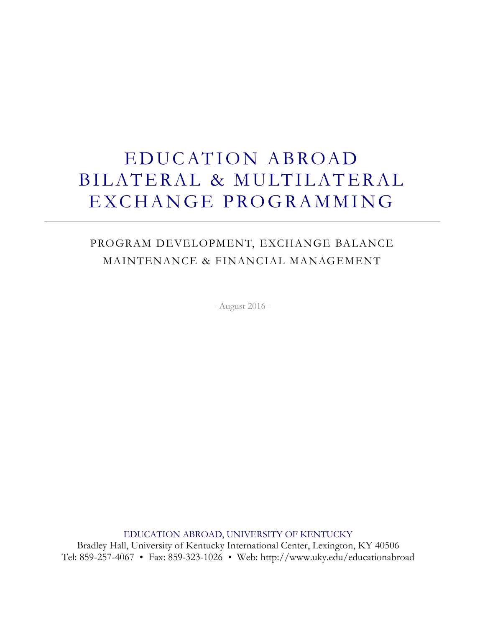# EDUCATION ABROAD BILATERAL & MULTILATERAL EXCHANGE PROGRAMMING

# PROGRAM DEVELOPMENT, EXCHANGE BALANCE MAINTENANCE & FINANCIAL MANAGEMENT

- August 2016 -

EDUCATION ABROAD, UNIVERSITY OF KENTUCKY Bradley Hall, University of Kentucky International Center, Lexington, KY 40506 Tel: 859-257-4067 Fax: 859-323-1026 Web: http://www.uky.edu/educationabroad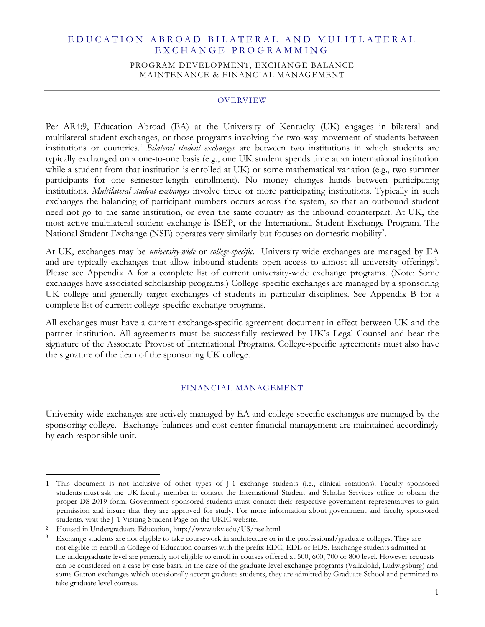# E D U C A T I O N A B R O A D B I L A T E R A L A N D M U L I T L A T E R A L E X C H A N G E P R O G R A M M I N G

#### PROGRAM DEVELOPMENT, EXCHANGE BALANCE MAINTENANCE & FINANCIAL MANAGEMENT

#### OVERVIEW

Per AR4:9, Education Abroad (EA) at the University of Kentucky (UK) engages in bilateral and multilateral student exchanges, or those programs involving the two-way movement of students between institutions or countries. <sup>1</sup> *Bilateral student exchanges* are between two institutions in which students are typically exchanged on a one-to-one basis (e.g., one UK student spends time at an international institution while a student from that institution is enrolled at UK) or some mathematical variation (e.g., two summer participants for one semester-length enrollment). No money changes hands between participating institutions. *Multilateral student exchanges* involve three or more participating institutions. Typically in such exchanges the balancing of participant numbers occurs across the system, so that an outbound student need not go to the same institution, or even the same country as the inbound counterpart. At UK, the most active multilateral student exchange is ISEP, or the International Student Exchange Program. The National Student Exchange (NSE) operates very similarly but focuses on domestic mobility<sup>2</sup>.

At UK, exchanges may be *university-wide* or *college-specific*. University-wide exchanges are managed by EA and are typically exchanges that allow inbound students open access to almost all university offerings<sup>3</sup>. Please see Appendix A for a complete list of current university-wide exchange programs. (Note: Some exchanges have associated scholarship programs.) College-specific exchanges are managed by a sponsoring UK college and generally target exchanges of students in particular disciplines. See Appendix B for a complete list of current college-specific exchange programs.

All exchanges must have a current exchange-specific agreement document in effect between UK and the partner institution. All agreements must be successfully reviewed by UK's Legal Counsel and bear the signature of the Associate Provost of International Programs. College-specific agreements must also have the signature of the dean of the sponsoring UK college.

#### FINANCIAL MANAGEMENT

University-wide exchanges are actively managed by EA and college-specific exchanges are managed by the sponsoring college. Exchange balances and cost center financial management are maintained accordingly by each responsible unit.

 $\overline{a}$ 1 This document is not inclusive of other types of J-1 exchange students (i.e., clinical rotations). Faculty sponsored students must ask the UK faculty member to contact the International Student and Scholar Services office to obtain the proper DS-2019 form. Government sponsored students must contact their respective government representatives to gain permission and insure that they are approved for study. For more information about government and faculty sponsored students, visit the J-1 Visiting Student Page on the UKIC website.

<sup>2</sup> Housed in Undergraduate Education, http://www.uky.edu/US/nse.html

<sup>3</sup> Exchange students are not eligible to take coursework in architecture or in the professional/graduate colleges. They are not eligible to enroll in College of Education courses with the prefix EDC, EDL or EDS. Exchange students admitted at the undergraduate level are generally not eligible to enroll in courses offered at 500, 600, 700 or 800 level. However requests can be considered on a case by case basis. In the case of the graduate level exchange programs (Valladolid, Ludwigsburg) and some Gatton exchanges which occasionally accept graduate students, they are admitted by Graduate School and permitted to take graduate level courses.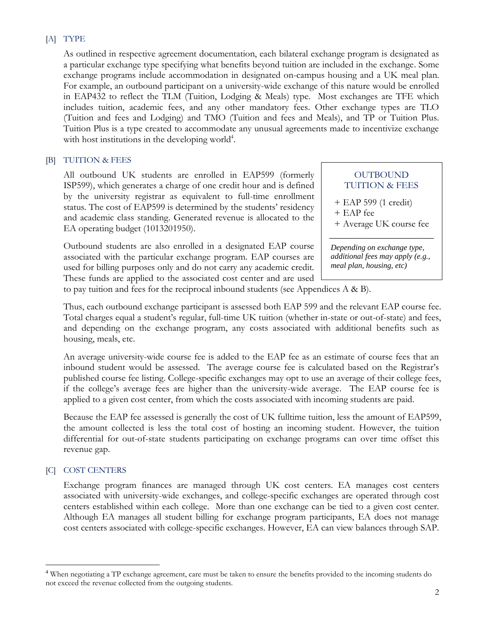# [A] TYPE

As outlined in respective agreement documentation, each bilateral exchange program is designated as a particular exchange type specifying what benefits beyond tuition are included in the exchange. Some exchange programs include accommodation in designated on-campus housing and a UK meal plan. For example, an outbound participant on a university-wide exchange of this nature would be enrolled in EAP432 to reflect the TLM (Tuition, Lodging & Meals) type. Most exchanges are TFE which includes tuition, academic fees, and any other mandatory fees. Other exchange types are TLO (Tuition and fees and Lodging) and TMO (Tuition and fees and Meals), and TP or Tuition Plus. Tuition Plus is a type created to accommodate any unusual agreements made to incentivize exchange with host institutions in the developing world<sup>4</sup>.

# [B] TUITION & FEES

All outbound UK students are enrolled in EAP599 (formerly ISP599), which generates a charge of one credit hour and is defined by the university registrar as equivalent to full-time enrollment status. The cost of EAP599 is determined by the students' residency and academic class standing. Generated revenue is allocated to the EA operating budget (1013201950).

Outbound students are also enrolled in a designated EAP course associated with the particular exchange program. EAP courses are used for billing purposes only and do not carry any academic credit. These funds are applied to the associated cost center and are used

# **OUTBOUND** TUITION & FEES

+ EAP 599 (1 credit)

- + EAP fee
- + Average UK course fee \_\_\_\_\_\_\_\_\_\_\_\_\_\_\_\_\_\_\_\_\_\_

*Depending on exchange type, additional fees may apply (e.g., meal plan, housing, etc)*

to pay tuition and fees for the reciprocal inbound students (see Appendices  $A \& B$ ).

Thus, each outbound exchange participant is assessed both EAP 599 and the relevant EAP course fee. Total charges equal a student's regular, full-time UK tuition (whether in-state or out-of-state) and fees, and depending on the exchange program, any costs associated with additional benefits such as housing, meals, etc.

An average university-wide course fee is added to the EAP fee as an estimate of course fees that an inbound student would be assessed. The average course fee is calculated based on the Registrar's published course fee listing. College-specific exchanges may opt to use an average of their college fees, if the college's average fees are higher than the university-wide average. The EAP course fee is applied to a given cost center, from which the costs associated with incoming students are paid.

Because the EAP fee assessed is generally the cost of UK fulltime tuition, less the amount of EAP599, the amount collected is less the total cost of hosting an incoming student. However, the tuition differential for out-of-state students participating on exchange programs can over time offset this revenue gap.

# [C] COST CENTERS

 $\overline{a}$ 

Exchange program finances are managed through UK cost centers. EA manages cost centers associated with university-wide exchanges, and college-specific exchanges are operated through cost centers established within each college. More than one exchange can be tied to a given cost center. Although EA manages all student billing for exchange program participants, EA does not manage cost centers associated with college-specific exchanges. However, EA can view balances through SAP.

<sup>4</sup> When negotiating a TP exchange agreement, care must be taken to ensure the benefits provided to the incoming students do not exceed the revenue collected from the outgoing students.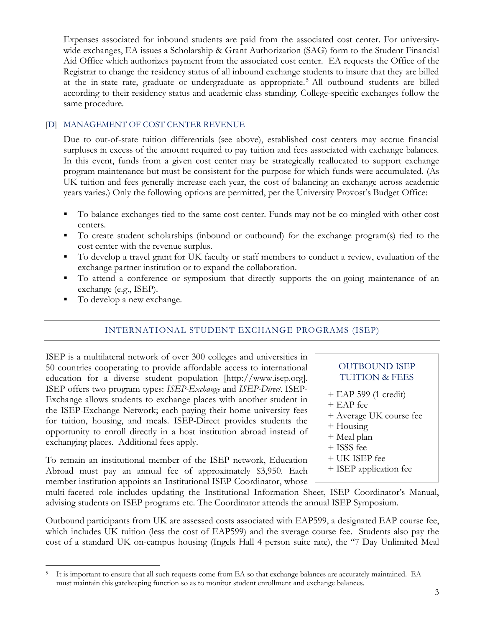Expenses associated for inbound students are paid from the associated cost center. For universitywide exchanges, EA issues a Scholarship & Grant Authorization (SAG) form to the Student Financial Aid Office which authorizes payment from the associated cost center. EA requests the Office of the Registrar to change the residency status of all inbound exchange students to insure that they are billed at the in-state rate, graduate or undergraduate as appropriate. <sup>5</sup> All outbound students are billed according to their residency status and academic class standing. College-specific exchanges follow the same procedure.

# [D] MANAGEMENT OF COST CENTER REVENUE

Due to out-of-state tuition differentials (see above), established cost centers may accrue financial surpluses in excess of the amount required to pay tuition and fees associated with exchange balances. In this event, funds from a given cost center may be strategically reallocated to support exchange program maintenance but must be consistent for the purpose for which funds were accumulated. (As UK tuition and fees generally increase each year, the cost of balancing an exchange across academic years varies.) Only the following options are permitted, per the University Provost's Budget Office:

- To balance exchanges tied to the same cost center. Funds may not be co-mingled with other cost centers.
- To create student scholarships (inbound or outbound) for the exchange program(s) tied to the cost center with the revenue surplus.
- To develop a travel grant for UK faculty or staff members to conduct a review, evaluation of the exchange partner institution or to expand the collaboration.
- To attend a conference or symposium that directly supports the on-going maintenance of an exchange (e.g., ISEP).
- To develop a new exchange.

 $\overline{a}$ 

# INTERNATIONAL STUDENT EXCHANGE PROGRAMS (ISEP)

ISEP is a multilateral network of over 300 colleges and universities in 50 countries cooperating to provide affordable access to international education for a diverse student population [http://www.isep.org]. ISEP offers two program types: *ISEP-Exchange* and *ISEP-Direct*. ISEP-Exchange allows students to exchange places with another student in the ISEP-Exchange Network; each paying their home university fees for tuition, housing, and meals. ISEP-Direct provides students the opportunity to enroll directly in a host institution abroad instead of exchanging places. Additional fees apply.

To remain an institutional member of the ISEP network, Education Abroad must pay an annual fee of approximately \$3,950. Each member institution appoints an Institutional ISEP Coordinator, whose

# OUTBOUND ISEP TUITION & FEES

- + EAP 599 (1 credit)
- + EAP fee
- + Average UK course fee
- + Housing
- + Meal plan
- + ISSS fee
- + UK ISEP fee
- + ISEP application fee

multi-faceted role includes updating the Institutional Information Sheet, ISEP Coordinator's Manual, advising students on ISEP programs etc. The Coordinator attends the annual ISEP Symposium.

Outbound participants from UK are assessed costs associated with EAP599, a designated EAP course fee, which includes UK tuition (less the cost of EAP599) and the average course fee. Students also pay the cost of a standard UK on-campus housing (Ingels Hall 4 person suite rate), the "7 Day Unlimited Meal

<sup>5</sup> It is important to ensure that all such requests come from EA so that exchange balances are accurately maintained. EA must maintain this gatekeeping function so as to monitor student enrollment and exchange balances.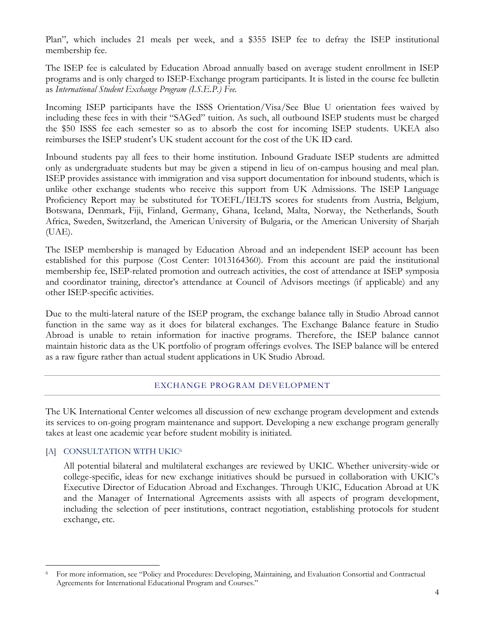Plan", which includes 21 meals per week, and a \$355 ISEP fee to defray the ISEP institutional membership fee.

The ISEP fee is calculated by Education Abroad annually based on average student enrollment in ISEP programs and is only charged to ISEP-Exchange program participants. It is listed in the course fee bulletin as *International Student Exchange Program (I.S.E.P.) Fee.* 

Incoming ISEP participants have the ISSS Orientation/Visa/See Blue U orientation fees waived by including these fees in with their "SAGed" tuition. As such, all outbound ISEP students must be charged the \$50 ISSS fee each semester so as to absorb the cost for incoming ISEP students. UKEA also reimburses the ISEP student's UK student account for the cost of the UK ID card.

Inbound students pay all fees to their home institution. Inbound Graduate ISEP students are admitted only as undergraduate students but may be given a stipend in lieu of on-campus housing and meal plan. ISEP provides assistance with immigration and visa support documentation for inbound students, which is unlike other exchange students who receive this support from UK Admissions. The ISEP Language Proficiency Report may be substituted for TOEFL/IELTS scores for students from Austria, Belgium, Botswana, Denmark, Fiji, Finland, Germany, Ghana, Iceland, Malta, Norway, the Netherlands, South Africa, Sweden, Switzerland, the American University of Bulgaria, or the American University of Sharjah (UAE).

The ISEP membership is managed by Education Abroad and an independent ISEP account has been established for this purpose (Cost Center: 1013164360). From this account are paid the institutional membership fee, ISEP-related promotion and outreach activities, the cost of attendance at ISEP symposia and coordinator training, director's attendance at Council of Advisors meetings (if applicable) and any other ISEP-specific activities.

Due to the multi-lateral nature of the ISEP program, the exchange balance tally in Studio Abroad cannot function in the same way as it does for bilateral exchanges. The Exchange Balance feature in Studio Abroad is unable to retain information for inactive programs. Therefore, the ISEP balance cannot maintain historic data as the UK portfolio of program offerings evolves. The ISEP balance will be entered as a raw figure rather than actual student applications in UK Studio Abroad.

# EXCHANGE PROGRAM DEVELOPMENT

The UK International Center welcomes all discussion of new exchange program development and extends its services to on-going program maintenance and support. Developing a new exchange program generally takes at least one academic year before student mobility is initiated.

#### [A] CONSULTATION WITH UKIC<sup>6</sup>

 $\overline{a}$ 

All potential bilateral and multilateral exchanges are reviewed by UKIC. Whether university-wide or college-specific, ideas for new exchange initiatives should be pursued in collaboration with UKIC's Executive Director of Education Abroad and Exchanges. Through UKIC, Education Abroad at UK and the Manager of International Agreements assists with all aspects of program development, including the selection of peer institutions, contract negotiation, establishing protocols for student exchange, etc.

<sup>6</sup> For more information, see "Policy and Procedures: Developing, Maintaining, and Evaluation Consortial and Contractual Agreements for International Educational Program and Courses."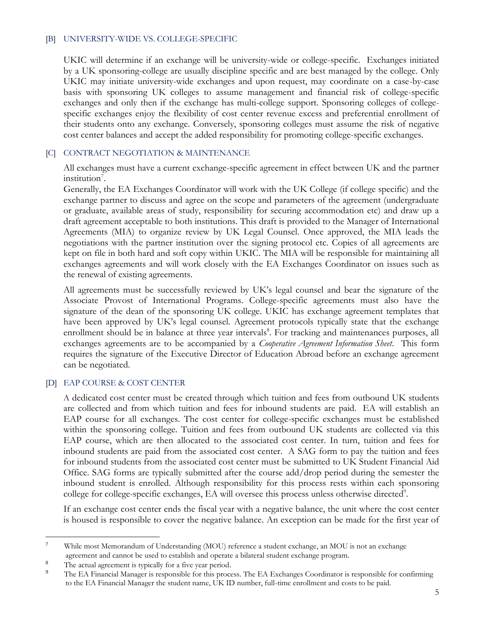# [B] UNIVERSITY-WIDE VS. COLLEGE-SPECIFIC

UKIC will determine if an exchange will be university-wide or college-specific. Exchanges initiated by a UK sponsoring-college are usually discipline specific and are best managed by the college. Only UKIC may initiate university-wide exchanges and upon request, may coordinate on a case-by-case basis with sponsoring UK colleges to assume management and financial risk of college-specific exchanges and only then if the exchange has multi-college support. Sponsoring colleges of collegespecific exchanges enjoy the flexibility of cost center revenue excess and preferential enrollment of their students onto any exchange. Conversely, sponsoring colleges must assume the risk of negative cost center balances and accept the added responsibility for promoting college-specific exchanges.

# [C] CONTRACT NEGOTIATION & MAINTENANCE

All exchanges must have a current exchange-specific agreement in effect between UK and the partner institution<sup>7</sup>.

Generally, the EA Exchanges Coordinator will work with the UK College (if college specific) and the exchange partner to discuss and agree on the scope and parameters of the agreement (undergraduate or graduate, available areas of study, responsibility for securing accommodation etc) and draw up a draft agreement acceptable to both institutions. This draft is provided to the Manager of International Agreements (MIA) to organize review by UK Legal Counsel. Once approved, the MIA leads the negotiations with the partner institution over the signing protocol etc. Copies of all agreements are kept on file in both hard and soft copy within UKIC. The MIA will be responsible for maintaining all exchanges agreements and will work closely with the EA Exchanges Coordinator on issues such as the renewal of existing agreements.

All agreements must be successfully reviewed by UK's legal counsel and bear the signature of the Associate Provost of International Programs. College-specific agreements must also have the signature of the dean of the sponsoring UK college. UKIC has exchange agreement templates that have been approved by UK's legal counsel. Agreement protocols typically state that the exchange enrollment should be in balance at three year intervals<sup>8</sup>. For tracking and maintenances purposes, all exchanges agreements are to be accompanied by a *Cooperative Agreement Information Sheet*. This form requires the signature of the Executive Director of Education Abroad before an exchange agreement can be negotiated.

#### [D] EAP COURSE & COST CENTER

A dedicated cost center must be created through which tuition and fees from outbound UK students are collected and from which tuition and fees for inbound students are paid. EA will establish an EAP course for all exchanges. The cost center for college-specific exchanges must be established within the sponsoring college. Tuition and fees from outbound UK students are collected via this EAP course, which are then allocated to the associated cost center. In turn, tuition and fees for inbound students are paid from the associated cost center. A SAG form to pay the tuition and fees for inbound students from the associated cost center must be submitted to UK Student Financial Aid Office. SAG forms are typically submitted after the course add/drop period during the semester the inbound student is enrolled. Although responsibility for this process rests within each sponsoring college for college-specific exchanges, EA will oversee this process unless otherwise directed<sup>9</sup>.

If an exchange cost center ends the fiscal year with a negative balance, the unit where the cost center is housed is responsible to cover the negative balance. An exception can be made for the first year of

<sup>7</sup> While most Memorandum of Understanding (MOU) reference a student exchange, an MOU is not an exchange agreement and cannot be used to establish and operate a bilateral student exchange program.

<sup>8</sup> The actual agreement is typically for a five year period.

<sup>9</sup> The EA Financial Manager is responsible for this process. The EA Exchanges Coordinator is responsible for confirming to the EA Financial Manager the student name, UK ID number, full-time enrollment and costs to be paid.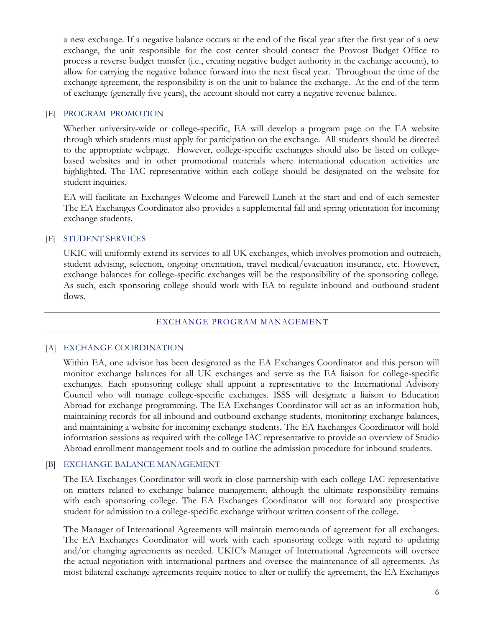a new exchange. If a negative balance occurs at the end of the fiscal year after the first year of a new exchange, the unit responsible for the cost center should contact the Provost Budget Office to process a reverse budget transfer (i.e., creating negative budget authority in the exchange account), to allow for carrying the negative balance forward into the next fiscal year. Throughout the time of the exchange agreement, the responsibility is on the unit to balance the exchange. At the end of the term of exchange (generally five years), the account should not carry a negative revenue balance.

# [E] PROGRAM PROMOTION

Whether university-wide or college-specific, EA will develop a program page on the EA website through which students must apply for participation on the exchange. All students should be directed to the appropriate webpage. However, college-specific exchanges should also be listed on collegebased websites and in other promotional materials where international education activities are highlighted. The IAC representative within each college should be designated on the website for student inquiries.

EA will facilitate an Exchanges Welcome and Farewell Lunch at the start and end of each semester The EA Exchanges Coordinator also provides a supplemental fall and spring orientation for incoming exchange students.

# [F] STUDENT SERVICES

UKIC will uniformly extend its services to all UK exchanges, which involves promotion and outreach, student advising, selection, ongoing orientation, travel medical/evacuation insurance, etc. However, exchange balances for college-specific exchanges will be the responsibility of the sponsoring college. As such, each sponsoring college should work with EA to regulate inbound and outbound student flows.

#### EXCHANGE PROGRAM MANAGEMENT

#### [A] EXCHANGE COORDINATION

Within EA, one advisor has been designated as the EA Exchanges Coordinator and this person will monitor exchange balances for all UK exchanges and serve as the EA liaison for college-specific exchanges. Each sponsoring college shall appoint a representative to the International Advisory Council who will manage college-specific exchanges. ISSS will designate a liaison to Education Abroad for exchange programming. The EA Exchanges Coordinator will act as an information hub, maintaining records for all inbound and outbound exchange students, monitoring exchange balances, and maintaining a website for incoming exchange students. The EA Exchanges Coordinator will hold information sessions as required with the college IAC representative to provide an overview of Studio Abroad enrollment management tools and to outline the admission procedure for inbound students.

# [B] EXCHANGE BALANCE MANAGEMENT

The EA Exchanges Coordinator will work in close partnership with each college IAC representative on matters related to exchange balance management, although the ultimate responsibility remains with each sponsoring college. The EA Exchanges Coordinator will not forward any prospective student for admission to a college-specific exchange without written consent of the college.

The Manager of International Agreements will maintain memoranda of agreement for all exchanges. The EA Exchanges Coordinator will work with each sponsoring college with regard to updating and/or changing agreements as needed. UKIC's Manager of International Agreements will oversee the actual negotiation with international partners and oversee the maintenance of all agreements. As most bilateral exchange agreements require notice to alter or nullify the agreement, the EA Exchanges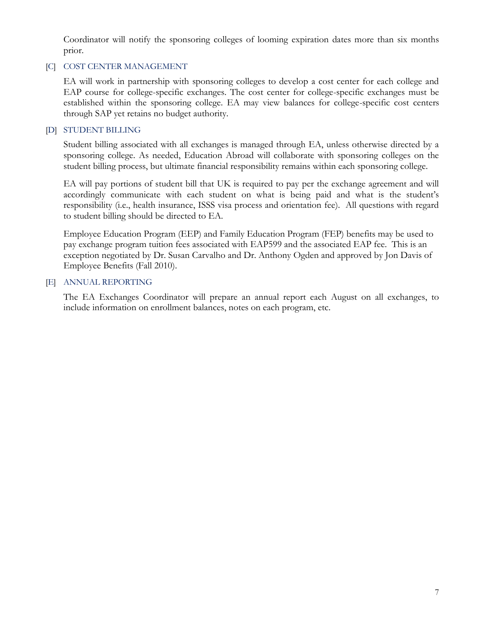Coordinator will notify the sponsoring colleges of looming expiration dates more than six months prior.

# [C] COST CENTER MANAGEMENT

EA will work in partnership with sponsoring colleges to develop a cost center for each college and EAP course for college-specific exchanges. The cost center for college-specific exchanges must be established within the sponsoring college. EA may view balances for college-specific cost centers through SAP yet retains no budget authority.

# [D] STUDENT BILLING

Student billing associated with all exchanges is managed through EA, unless otherwise directed by a sponsoring college. As needed, Education Abroad will collaborate with sponsoring colleges on the student billing process, but ultimate financial responsibility remains within each sponsoring college.

EA will pay portions of student bill that UK is required to pay per the exchange agreement and will accordingly communicate with each student on what is being paid and what is the student's responsibility (i.e., health insurance, ISSS visa process and orientation fee). All questions with regard to student billing should be directed to EA.

Employee Education Program (EEP) and Family Education Program (FEP) benefits may be used to pay exchange program tuition fees associated with EAP599 and the associated EAP fee. This is an exception negotiated by Dr. Susan Carvalho and Dr. Anthony Ogden and approved by Jon Davis of Employee Benefits (Fall 2010).

# [E] ANNUAL REPORTING

The EA Exchanges Coordinator will prepare an annual report each August on all exchanges, to include information on enrollment balances, notes on each program, etc.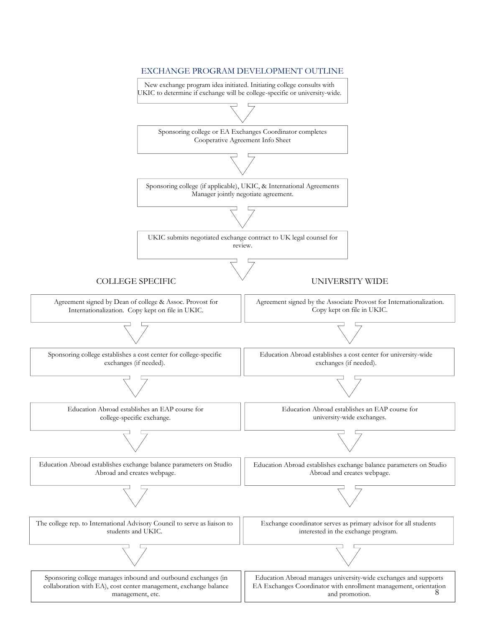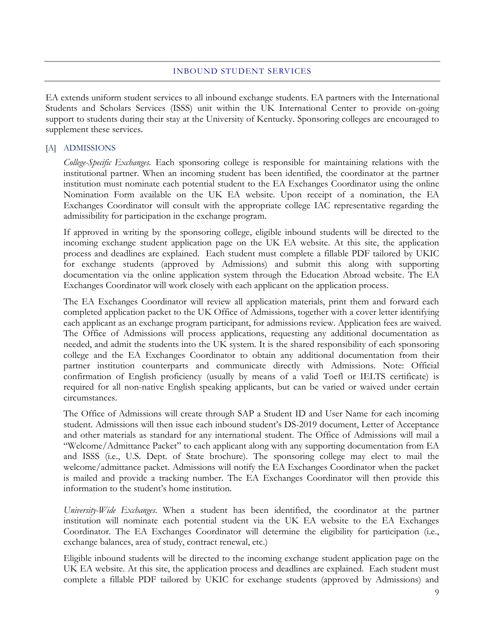#### INBOUND STUDENT SERVICES

EA extends uniform student services to all inbound exchange students. EA partners with the International Students and Scholars Services (ISSS) unit within the UK International Center to provide on-going support to students during their stay at the University of Kentucky. Sponsoring colleges are encouraged to supplement these services.

#### [A] ADMISSIONS

*College-Specific Exchanges.* Each sponsoring college is responsible for maintaining relations with the institutional partner. When an incoming student has been identified, the coordinator at the partner institution must nominate each potential student to the EA Exchanges Coordinator using the online Nomination Form available on the UK EA website. Upon receipt of a nomination, the EA Exchanges Coordinator will consult with the appropriate college IAC representative regarding the admissibility for participation in the exchange program.

If approved in writing by the sponsoring college, eligible inbound students will be directed to the incoming exchange student application page on the UK EA website. At this site, the application process and deadlines are explained. Each student must complete a fillable PDF tailored by UKIC for exchange students (approved by Admissions) and submit this along with supporting documentation via the online application system through the Education Abroad website. The EA Exchanges Coordinator will work closely with each applicant on the application process.

The EA Exchanges Coordinator will review all application materials, print them and forward each completed application packet to the UK Office of Admissions, together with a cover letter identifying each applicant as an exchange program participant, for admissions review. Application fees are waived. The Office of Admissions will process applications, requesting any additional documentation as needed, and admit the students into the UK system. It is the shared responsibility of each sponsoring college and the EA Exchanges Coordinator to obtain any additional documentation from their partner institution counterparts and communicate directly with Admissions. Note: Official confirmation of English proficiency (usually by means of a valid Toefl or IELTS certificate) is required for all non-native English speaking applicants, but can be varied or waived under certain circumstances.

The Office of Admissions will create through SAP a Student ID and User Name for each incoming student. Admissions will then issue each inbound student's DS-2019 document, Letter of Acceptance and other materials as standard for any international student. The Office of Admissions will mail a "Welcome/Admittance Packet" to each applicant along with any supporting documentation from EA and ISSS (i.e., U.S. Dept. of State brochure). The sponsoring college may elect to mail the welcome/admittance packet. Admissions will notify the EA Exchanges Coordinator when the packet is mailed and provide a tracking number. The EA Exchanges Coordinator will then provide this information to the student's home institution.

*University-Wide Exchanges*. When a student has been identified, the coordinator at the partner institution will nominate each potential student via the UK EA website to the EA Exchanges Coordinator. The EA Exchanges Coordinator will determine the eligibility for participation (i.e., exchange balances, area of study, contract renewal, etc.)

Eligible inbound students will be directed to the incoming exchange student application page on the UK EA website. At this site, the application process and deadlines are explained. Each student must complete a fillable PDF tailored by UKIC for exchange students (approved by Admissions) and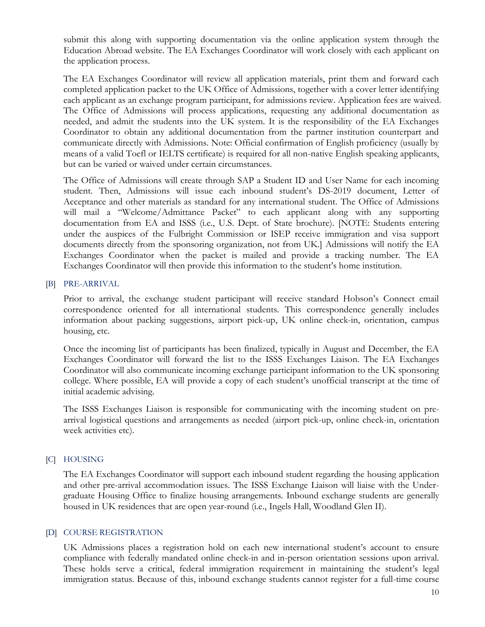submit this along with supporting documentation via the online application system through the Education Abroad website. The EA Exchanges Coordinator will work closely with each applicant on the application process.

The EA Exchanges Coordinator will review all application materials, print them and forward each completed application packet to the UK Office of Admissions, together with a cover letter identifying each applicant as an exchange program participant, for admissions review. Application fees are waived. The Office of Admissions will process applications, requesting any additional documentation as needed, and admit the students into the UK system. It is the responsibility of the EA Exchanges Coordinator to obtain any additional documentation from the partner institution counterpart and communicate directly with Admissions. Note: Official confirmation of English proficiency (usually by means of a valid Toefl or IELTS certificate) is required for all non-native English speaking applicants, but can be varied or waived under certain circumstances.

The Office of Admissions will create through SAP a Student ID and User Name for each incoming student. Then, Admissions will issue each inbound student's DS-2019 document, Letter of Acceptance and other materials as standard for any international student. The Office of Admissions will mail a "Welcome/Admittance Packet" to each applicant along with any supporting documentation from EA and ISSS (i.e., U.S. Dept. of State brochure). [NOTE: Students entering under the auspices of the Fulbright Commission or ISEP receive immigration and visa support documents directly from the sponsoring organization, not from UK.] Admissions will notify the EA Exchanges Coordinator when the packet is mailed and provide a tracking number. The EA Exchanges Coordinator will then provide this information to the student's home institution.

#### [B] PRE-ARRIVAL

Prior to arrival, the exchange student participant will receive standard Hobson's Connect email correspondence oriented for all international students. This correspondence generally includes information about packing suggestions, airport pick-up, UK online check-in, orientation, campus housing, etc.

Once the incoming list of participants has been finalized, typically in August and December, the EA Exchanges Coordinator will forward the list to the ISSS Exchanges Liaison. The EA Exchanges Coordinator will also communicate incoming exchange participant information to the UK sponsoring college. Where possible, EA will provide a copy of each student's unofficial transcript at the time of initial academic advising.

The ISSS Exchanges Liaison is responsible for communicating with the incoming student on prearrival logistical questions and arrangements as needed (airport pick-up, online check-in, orientation week activities etc).

#### [C] HOUSING

The EA Exchanges Coordinator will support each inbound student regarding the housing application and other pre-arrival accommodation issues. The ISSS Exchange Liaison will liaise with the Undergraduate Housing Office to finalize housing arrangements. Inbound exchange students are generally housed in UK residences that are open year-round (i.e., Ingels Hall, Woodland Glen II).

#### [D] COURSE REGISTRATION

UK Admissions places a registration hold on each new international student's account to ensure compliance with federally mandated online check-in and in-person orientation sessions upon arrival. These holds serve a critical, federal immigration requirement in maintaining the student's legal immigration status. Because of this, inbound exchange students cannot register for a full-time course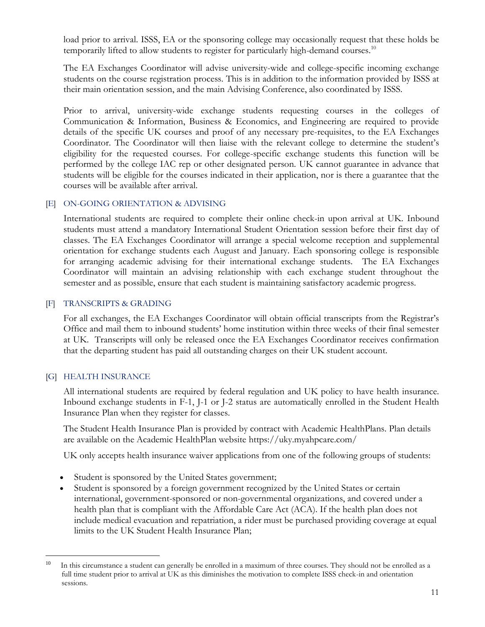load prior to arrival. ISSS, EA or the sponsoring college may occasionally request that these holds be temporarily lifted to allow students to register for particularly high-demand courses.<sup>10</sup>

The EA Exchanges Coordinator will advise university-wide and college-specific incoming exchange students on the course registration process. This is in addition to the information provided by ISSS at their main orientation session, and the main Advising Conference, also coordinated by ISSS.

Prior to arrival, university-wide exchange students requesting courses in the colleges of Communication & Information, Business & Economics, and Engineering are required to provide details of the specific UK courses and proof of any necessary pre-requisites, to the EA Exchanges Coordinator. The Coordinator will then liaise with the relevant college to determine the student's eligibility for the requested courses. For college-specific exchange students this function will be performed by the college IAC rep or other designated person. UK cannot guarantee in advance that students will be eligible for the courses indicated in their application, nor is there a guarantee that the courses will be available after arrival.

# [E] ON-GOING ORIENTATION & ADVISING

International students are required to complete their online check-in upon arrival at UK. Inbound students must attend a mandatory International Student Orientation session before their first day of classes. The EA Exchanges Coordinator will arrange a special welcome reception and supplemental orientation for exchange students each August and January. Each sponsoring college is responsible for arranging academic advising for their international exchange students. The EA Exchanges Coordinator will maintain an advising relationship with each exchange student throughout the semester and as possible, ensure that each student is maintaining satisfactory academic progress.

# [F] TRANSCRIPTS & GRADING

For all exchanges, the EA Exchanges Coordinator will obtain official transcripts from the Registrar's Office and mail them to inbound students' home institution within three weeks of their final semester at UK. Transcripts will only be released once the EA Exchanges Coordinator receives confirmation that the departing student has paid all outstanding charges on their UK student account.

# [G] HEALTH INSURANCE

 $\overline{a}$ 

All international students are required by federal regulation and UK policy to have health insurance. Inbound exchange students in F-1, J-1 or J-2 status are automatically enrolled in the Student Health Insurance Plan when they register for classes.

The Student Health Insurance Plan is provided by contract with Academic HealthPlans. Plan details are available on the Academic HealthPlan website https://uky.myahpcare.com/

UK only accepts health insurance waiver applications from one of the following groups of students:

- Student is sponsored by the United States government;
- Student is sponsored by a foreign government recognized by the United States or certain international, government-sponsored or non-governmental organizations, and covered under a health plan that is compliant with the Affordable Care Act (ACA). If the health plan does not include medical evacuation and repatriation, a rider must be purchased providing coverage at equal limits to the UK Student Health Insurance Plan;

<sup>10</sup> In this circumstance a student can generally be enrolled in a maximum of three courses. They should not be enrolled as a full time student prior to arrival at UK as this diminishes the motivation to complete ISSS check-in and orientation sessions.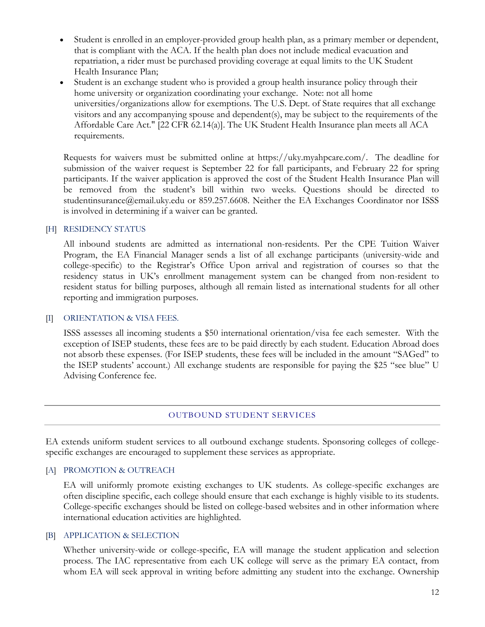- Student is enrolled in an employer-provided group health plan, as a primary member or dependent, that is compliant with the ACA. If the health plan does not include medical evacuation and repatriation, a rider must be purchased providing coverage at equal limits to the UK Student Health Insurance Plan;
- Student is an exchange student who is provided a group health insurance policy through their home university or organization coordinating your exchange. Note: not all home universities/organizations allow for exemptions. The U.S. Dept. of State requires that all exchange visitors and any accompanying spouse and dependent(s), may be subject to the requirements of the Affordable Care Act." [22 CFR 62.14(a)]. The UK Student Health Insurance plan meets all ACA requirements.

Requests for waivers must be submitted online at https://uky.myahpcare.com/. The deadline for submission of the waiver request is September 22 for fall participants, and February 22 for spring participants. If the waiver application is approved the cost of the Student Health Insurance Plan will be removed from the student's bill within two weeks. Questions should be directed to studentinsurance@email.uky.edu or 859.257.6608. Neither the EA Exchanges Coordinator nor ISSS is involved in determining if a waiver can be granted.

# [H] RESIDENCY STATUS

All inbound students are admitted as international non-residents. Per the CPE Tuition Waiver Program, the EA Financial Manager sends a list of all exchange participants (university-wide and college-specific) to the Registrar's Office Upon arrival and registration of courses so that the residency status in UK's enrollment management system can be changed from non-resident to resident status for billing purposes, although all remain listed as international students for all other reporting and immigration purposes.

#### [I] ORIENTATION & VISA FEES.

ISSS assesses all incoming students a \$50 international orientation/visa fee each semester. With the exception of ISEP students, these fees are to be paid directly by each student. Education Abroad does not absorb these expenses. (For ISEP students, these fees will be included in the amount "SAGed" to the ISEP students' account.) All exchange students are responsible for paying the \$25 "see blue" U Advising Conference fee.

#### OUTBOUND STUDENT SERVICES

EA extends uniform student services to all outbound exchange students. Sponsoring colleges of collegespecific exchanges are encouraged to supplement these services as appropriate.

# [A] PROMOTION & OUTREACH

EA will uniformly promote existing exchanges to UK students. As college-specific exchanges are often discipline specific, each college should ensure that each exchange is highly visible to its students. College-specific exchanges should be listed on college-based websites and in other information where international education activities are highlighted.

# [B] APPLICATION & SELECTION

Whether university-wide or college-specific, EA will manage the student application and selection process. The IAC representative from each UK college will serve as the primary EA contact, from whom EA will seek approval in writing before admitting any student into the exchange. Ownership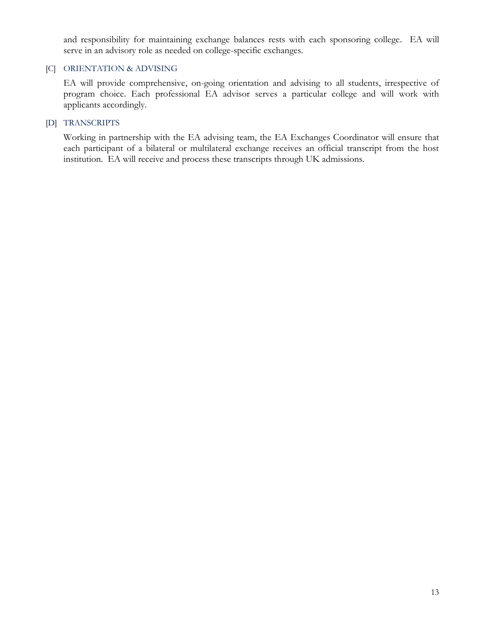and responsibility for maintaining exchange balances rests with each sponsoring college. EA will serve in an advisory role as needed on college-specific exchanges.

#### [C] ORIENTATION & ADVISING

EA will provide comprehensive, on-going orientation and advising to all students, irrespective of program choice. Each professional EA advisor serves a particular college and will work with applicants accordingly.

# [D] TRANSCRIPTS

Working in partnership with the EA advising team, the EA Exchanges Coordinator will ensure that each participant of a bilateral or multilateral exchange receives an official transcript from the host institution. EA will receive and process these transcripts through UK admissions.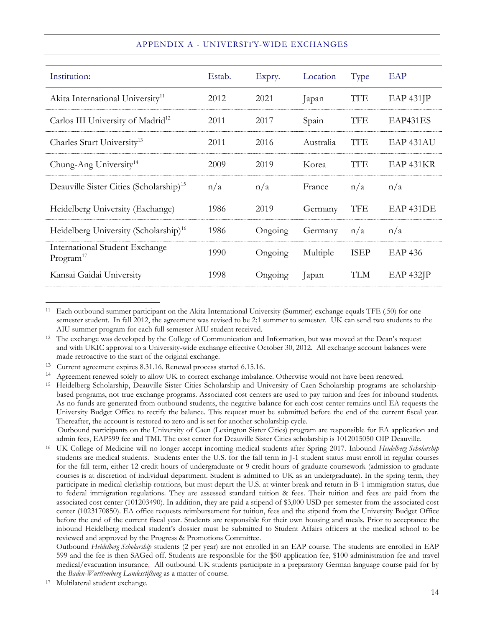| Institution:                                                   | Estab. | Expry.  | Location  | Type        | EAP                  |
|----------------------------------------------------------------|--------|---------|-----------|-------------|----------------------|
| Akita International University <sup>11</sup>                   | 2012   | 2021    | Japan     | <b>TFE</b>  | $EAP 431$ $IP$       |
| Carlos III University of Madrid <sup>12</sup>                  | 2011   | 2017    | Spain     | <b>TFE</b>  | EAP431ES             |
| Charles Sturt University <sup>13</sup>                         | 2011   | 2016    | Australia | TFE         | EAP <sub>431AU</sub> |
| Chung-Ang University <sup>14</sup>                             | 2009   | 2019    | Korea     | <b>TFE</b>  | EAP 431KR            |
| Deauville Sister Cities (Scholarship) <sup>15</sup>            | n/a    | n/a     | France    | n/a         | n/a                  |
| Heidelberg University (Exchange)                               | 1986   | 2019    | Germany   | <b>TFE</b>  | EAP 431DE            |
| Heidelberg University (Scholarship) <sup>16</sup>              | 1986   | Ongoing | Germany   | n/a         | n/a                  |
| <b>International Student Exchange</b><br>Program <sup>17</sup> | 1990   | Ongoing | Multiple  | <b>ISEP</b> | <b>EAP 436</b>       |
| Kansai Gaidai University                                       | 1998   | Ongoing | Japan     | <b>TLM</b>  | $EAP 432$ JP         |

#### APPENDIX A - UNIVERSITY-WIDE EXCHANGES

 Outbound participants on the University of Caen (Lexington Sister Cities) program are responsible for EA application and admin fees, EAP599 fee and TMI. The cost center for Deauville Sister Cities scholarship is 1012015050 OIP Deauville.

<sup>16</sup> UK College of Medicine will no longer accept incoming medical students after Spring 2017. Inbound *Heidelberg Scholarship* students are medical students. Students enter the U.S. for the fall term in J-1 student status must enroll in regular courses for the fall term, either 12 credit hours of undergraduate or 9 credit hours of graduate coursework (admission to graduate courses is at discretion of individual department. Student is admitted to UK as an undergraduate). In the spring term, they participate in medical clerkship rotations, but must depart the U.S. at winter break and return in B-1 immigration status, due to federal immigration regulations. They are assessed standard tuition & fees. Their tuition and fees are paid from the associated cost center (101203490). In addition, they are paid a stipend of \$3,000 USD per semester from the associated cost center (1023170850). EA office requests reimbursement for tuition, fees and the stipend from the University Budget Office before the end of the current fiscal year. Students are responsible for their own housing and meals. Prior to acceptance the inbound Heidelberg medical student's dossier must be submitted to Student Affairs officers at the medical school to be reviewed and approved by the Progress & Promotions Committee.

Outbound *Heidelberg Scholarship* students (2 per year) are not enrolled in an EAP course. The students are enrolled in EAP 599 and the fee is then SAGed off. Students are responsible for the \$50 application fee, \$100 administration fee and travel medical/evacuation insurance. All outbound UK students participate in a preparatory German language course paid for by the *Baden-Wurttemberg Landesstiftung* as a matter of course*.*

Multilateral student exchange.

<sup>11</sup> Each outbound summer participant on the Akita International University (Summer) exchange equals TFE (.50) for one semester student. In fall 2012, the agreement was revised to be 2:1 summer to semester. UK can send two students to the AIU summer program for each full semester AIU student received.

<sup>&</sup>lt;sup>12</sup> The exchange was developed by the College of Communication and Information, but was moved at the Dean's request and with UKIC approval to a University-wide exchange effective October 30, 2012. All exchange account balances were made retroactive to the start of the original exchange.

<sup>&</sup>lt;sup>13</sup> Current agreement expires 8.31.16. Renewal process started 6.15.16.

<sup>&</sup>lt;sup>14</sup> Agreement renewed solely to allow UK to correct exchange imbalance. Otherwise would not have been renewed.

<sup>15</sup> Heidelberg Scholarship, Deauville Sister Cities Scholarship and University of Caen Scholarship programs are scholarshipbased programs, not true exchange programs. Associated cost centers are used to pay tuition and fees for inbound students. As no funds are generated from outbound students, the negative balance for each cost center remains until EA requests the University Budget Office to rectify the balance. This request must be submitted before the end of the current fiscal year. Thereafter, the account is restored to zero and is set for another scholarship cycle.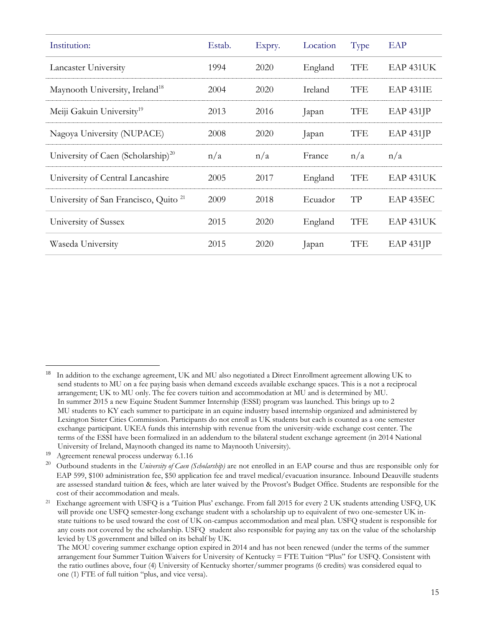| Institution:                                     | Estab. | Expry. | Location | Type       | EAP              |
|--------------------------------------------------|--------|--------|----------|------------|------------------|
| Lancaster University                             | 1994   | 2020   | England  | <b>TFE</b> | EAP 431UK        |
| Maynooth University, Ireland <sup>18</sup>       | 2004   | 2020   | Ireland  | <b>TFE</b> | <b>EAP 431IE</b> |
| Meiji Gakuin University <sup>19</sup>            | 2013   | 2016   | Japan    | <b>TFE</b> | EAP 431JP        |
| Nagoya University (NUPACE)                       | 2008   | 2020   | Japan    | <b>TFE</b> | EAP 431JP        |
|                                                  |        |        |          |            |                  |
| University of Caen (Scholarship) <sup>20</sup>   | n/a    | n/a    | France   | n/a        | n/a              |
| University of Central Lancashire                 | 2005   | 2017   | England  | <b>TFE</b> | EAP 431UK        |
| University of San Francisco, Quito <sup>21</sup> | 2009   | 2018   | Ecuador  | TP         | EAP 435EC        |
| University of Sussex                             | 2015   | 2020   | England  | <b>TFE</b> | EAP 431UK        |

<sup>18</sup> In addition to the exchange agreement, UK and MU also negotiated a Direct Enrollment agreement allowing UK to send students to MU on a fee paying basis when demand exceeds available exchange spaces. This is a not a reciprocal arrangement; UK to MU only. The fee covers tuition and accommodation at MU and is determined by MU. In summer 2015 a new Equine Student Summer Internship (ESSI) program was launched. This brings up to 2 MU students to KY each summer to participate in an equine industry based internship organized and administered by Lexington Sister Cities Commission. Participants do not enroll as UK students but each is counted as a one semester exchange participant. UKEA funds this internship with revenue from the university-wide exchange cost center. The terms of the ESSI have been formalized in an addendum to the bilateral student exchange agreement (in 2014 National University of Ireland, Maynooth changed its name to Maynooth University).

<sup>19</sup> Agreement renewal process underway 6.1.16

<sup>20</sup> Outbound students in the *University of Caen (Scholarship)* are not enrolled in an EAP course and thus are responsible only for EAP 599, \$100 administration fee, \$50 application fee and travel medical/evacuation insurance. Inbound Deauville students are assessed standard tuition & fees, which are later waived by the Provost's Budget Office. Students are responsible for the cost of their accommodation and meals.

<sup>21</sup> Exchange agreement with USFQ is a 'Tuition Plus' exchange. From fall 2015 for every 2 UK students attending USFQ, UK will provide one USFQ semester-long exchange student with a scholarship up to equivalent of two one-semester UK in state tuitions to be used toward the cost of UK on-campus accommodation and meal plan. USFQ student is responsible for any costs not covered by the scholarship. USFQ student also responsible for paying any tax on the value of the scholarship levied by US government and billed on its behalf by UK.

The MOU covering summer exchange option expired in 2014 and has not been renewed (under the terms of the summer arrangement four Summer Tuition Waivers for University of Kentucky = FTE Tuition "Plus" for USFQ. Consistent with the ratio outlines above, four (4) University of Kentucky shorter/summer programs (6 credits) was considered equal to one (1) FTE of full tuition "plus, and vice versa).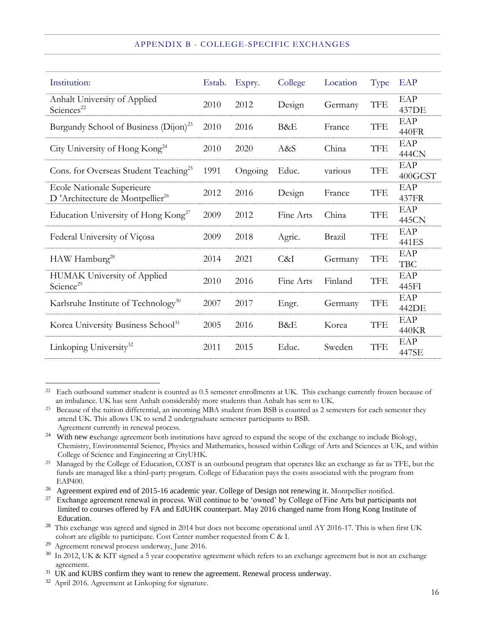#### APPENDIX B - COLLEGE-SPECIFIC EXCHANGES

| Institution:                                                                     | Estab. | Expry.  | College   | Location | Type       | EAP               |
|----------------------------------------------------------------------------------|--------|---------|-----------|----------|------------|-------------------|
| Anhalt University of Applied<br>Sciences <sup>22</sup>                           | 2010   | 2012    | Design    | Germany  | <b>TFE</b> | EAP<br>437DE      |
| Burgundy School of Business (Dijon) <sup>23</sup>                                | 2010   | 2016    | B&E       | France   | <b>TFE</b> | EAP<br>440FR      |
| City University of Hong Kong <sup>24</sup>                                       | 2010   | 2020    | A&S       | China    | <b>TFE</b> | EAP<br>444CN      |
| Cons. for Overseas Student Teaching <sup>25</sup>                                | 1991   | Ongoing | Educ.     | various  | <b>TFE</b> | EAP<br>400GCST    |
| <b>Ecole Nationale Superieure</b><br>D'Architecture de Montpellier <sup>26</sup> | 2012   | 2016    | Design    | France   | <b>TFE</b> | EAP<br>437FR      |
| Education University of Hong Kong <sup>27</sup>                                  | 2009   | 2012    | Fine Arts | China    | <b>TFE</b> | EAP<br>445CN      |
| Federal University of Viçosa                                                     | 2009   | 2018    | Agric.    | Brazil   | <b>TFE</b> | EAP<br>441ES      |
| HAW Hamburg <sup>28</sup>                                                        | 2014   | 2021    | C&I       | Germany  | <b>TFE</b> | EAP<br><b>TBC</b> |
| <b>HUMAK University of Applied</b><br>Science <sup>29</sup>                      | 2010   | 2016    | Fine Arts | Finland  | <b>TFE</b> | EAP<br>445FI      |
| Karlsruhe Institute of Technology <sup>30</sup>                                  | 2007   | 2017    | Engr.     | Germany  | <b>TFE</b> | EAP<br>442DE      |
| Korea University Business School <sup>31</sup>                                   | 2005   | 2016    | B&E       | Korea    | <b>TFE</b> | EAP<br>440KR      |
| Linkoping University <sup>32</sup>                                               | 2011   | 2015    | Educ.     | Sweden   | <b>TFE</b> | EAP<br>447SE      |

<sup>22</sup> Each outbound summer student is counted as 0.5 semester enrollments at UK. This exchange currently frozen because of an imbalance. UK has sent Anhalt considerably more students than Anhalt has sent to UK.

<sup>26</sup> Agreement expired end of 2015-16 academic year. College of Design not renewing it. Montpellier notified.

<sup>&</sup>lt;sup>23</sup> Because of the tuition differential, an incoming MBA student from BSB is counted as 2 semesters for each semester they attend UK. This allows UK to send 2 undergraduate semester participants to BSB. Agreement currently in renewal process.

<sup>&</sup>lt;sup>24</sup> With new exchange agreement both institutions have agreed to expand the scope of the exchange to include Biology, Chemistry, Environmental Science, Physics and Mathematics, housed within College of Arts and Sciences at UK, and within College of Science and Engineering at CityUHK.

<sup>&</sup>lt;sup>25</sup> Managed by the College of Education, COST is an outbound program that operates like an exchange as far as TFE, but the funds are managed like a third-party program. College of Education pays the costs associated with the program from EAP400.

<sup>27</sup> Exchange agreement renewal in process. Will continue to be 'owned' by College of Fine Arts but participants not limited to courses offered by FA and EdUHK counterpart. May 2016 changed name from Hong Kong Institute of Education.

<sup>&</sup>lt;sup>28</sup> This exchange was agreed and signed in 2014 but does not become operational until AY 2016-17. This is when first UK cohort are eligible to participate. Cost Center number requested from C & I.

<sup>29</sup> Agreement renewal process underway, June 2016.

<sup>30</sup> In 2012, UK & KIT signed a 5 year cooperative agreement which refers to an exchange agreement but is not an exchange agreement.

<sup>&</sup>lt;sup>31</sup> UK and KUBS confirm they want to renew the agreement. Renewal process underway.

<sup>&</sup>lt;sup>32</sup> April 2016. Agreement at Linkoping for signature.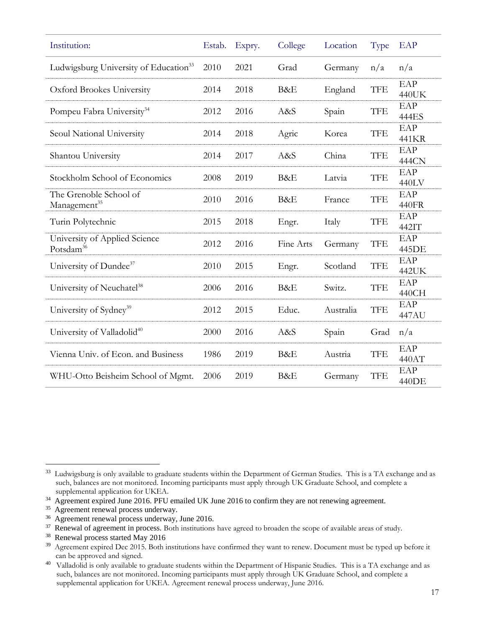| Institution:                                           | Estab. | Expry. | College   | Location  | Type       | EAP          |
|--------------------------------------------------------|--------|--------|-----------|-----------|------------|--------------|
| Ludwigsburg University of Education <sup>33</sup>      | 2010   | 2021   | Grad      | Germany   | n/a        | n/a          |
| Oxford Brookes University                              | 2014   | 2018   | B&E       | England   | <b>TFE</b> | EAP<br>440UK |
| Pompeu Fabra University <sup>34</sup>                  | 2012   | 2016   | A&S       | Spain     | <b>TFE</b> | EAP<br>444ES |
| Seoul National University                              | 2014   | 2018   | Agric     | Korea     | <b>TFE</b> | EAP<br>441KR |
| Shantou University                                     | 2014   | 2017   | A&S       | China     | <b>TFE</b> | EAP<br>444CN |
| Stockholm School of Economics                          | 2008   | 2019   | B&E       | Latvia    | <b>TFE</b> | EAP<br>440LV |
| The Grenoble School of<br>Management <sup>35</sup>     | 2010   | 2016   | B&E       | France    | <b>TFE</b> | EAP<br>440FR |
| Turin Polytechnic                                      | 2015   | 2018   | Engr.     | Italy     | <b>TFE</b> | EAP<br>442IT |
| University of Applied Science<br>Potsdam <sup>36</sup> | 2012   | 2016   | Fine Arts | Germany   | <b>TFE</b> | EAP<br>445DE |
| University of Dundee <sup>37</sup>                     | 2010   | 2015   | Engr.     | Scotland  | <b>TFE</b> | EAP<br>442UK |
| University of Neuchatel <sup>38</sup>                  | 2006   | 2016   | B&E       | Switz.    | <b>TFE</b> | EAP<br>440CH |
| University of Sydney <sup>39</sup>                     | 2012   | 2015   | Educ.     | Australia | <b>TFE</b> | EAP<br>447AU |
| University of Valladolid <sup>40</sup>                 | 2000   | 2016   | A&S       | Spain     | Grad       | n/a          |
| Vienna Univ. of Econ. and Business                     | 1986   | 2019   | B&E       | Austria   | <b>TFE</b> | EAP<br>440AT |
| WHU-Otto Beisheim School of Mgmt.                      | 2006   | 2019   | B&E       | Germany   | <b>TFE</b> | EAP<br>440DE |

<sup>&</sup>lt;sup>33</sup> Ludwigsburg is only available to graduate students within the Department of German Studies. This is a TA exchange and as such, balances are not monitored. Incoming participants must apply through UK Graduate School, and complete a supplemental application for UKEA.

<sup>&</sup>lt;sup>34</sup> Agreement expired June 2016. PFU emailed UK June 2016 to confirm they are not renewing agreement.

<sup>&</sup>lt;sup>35</sup> Agreement renewal process underway.

<sup>&</sup>lt;sup>36</sup> Agreement renewal process underway, June 2016.

<sup>&</sup>lt;sup>37</sup> Renewal of agreement in process. Both institutions have agreed to broaden the scope of available areas of study.

<sup>&</sup>lt;sup>38</sup> Renewal process started May 2016

<sup>&</sup>lt;sup>39</sup> Agreement expired Dec 2015. Both institutions have confirmed they want to renew. Document must be typed up before it can be approved and signed.

<sup>&</sup>lt;sup>40</sup> Valladolid is only available to graduate students within the Department of Hispanic Studies. This is a TA exchange and as such, balances are not monitored. Incoming participants must apply through UK Graduate School, and complete a supplemental application for UKEA. Agreement renewal process underway, June 2016.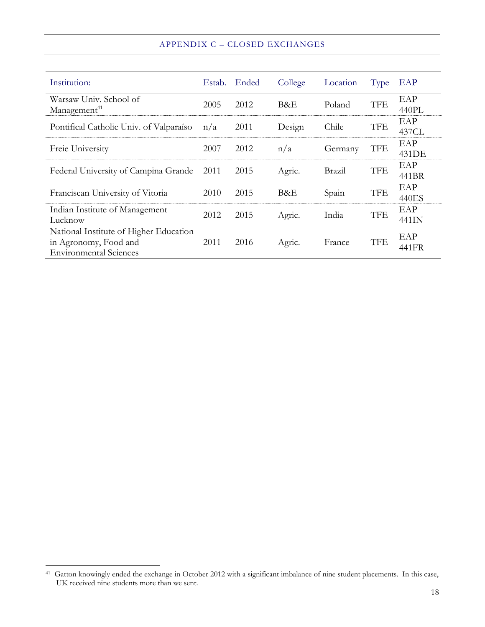#### APPENDIX C – CLOSED EXCHANGES

| Institution:                                                                                     | Estab. | Ended | College | Location | Type       | EAP          |
|--------------------------------------------------------------------------------------------------|--------|-------|---------|----------|------------|--------------|
| Warsaw Univ. School of<br>Management <sup>41</sup>                                               | 2005   | 2012  | B&E     | Poland   | <b>TFE</b> | EAP<br>440PL |
| Pontifical Catholic Univ. of Valparaíso                                                          | n/a    | 2011  | Design  | Chile    | TFE        | EAP<br>437CL |
| Freie University                                                                                 | 2007   | 2012  | n/a     | Germany  | <b>TFE</b> | EAP<br>431DE |
| Federal University of Campina Grande                                                             | 2011   | 2015  | Agric.  | Brazil   | <b>TFE</b> | EAP<br>441BR |
| Franciscan University of Vitoria                                                                 | 2010   | 2015  | B&E     | Spain    | <b>TFE</b> | EAP<br>440ES |
| Indian Institute of Management<br>Lucknow                                                        | 2012   | 2015  | Agric.  | India    | <b>TFE</b> | EAP<br>441IN |
| National Institute of Higher Education<br>in Agronomy, Food and<br><b>Environmental Sciences</b> | 2011   | 2016  | Agric.  | France   | <b>TFE</b> | EAP<br>441FR |

<sup>&</sup>lt;sup>41</sup> Gatton knowingly ended the exchange in October 2012 with a significant imbalance of nine student placements. In this case, UK received nine students more than we sent.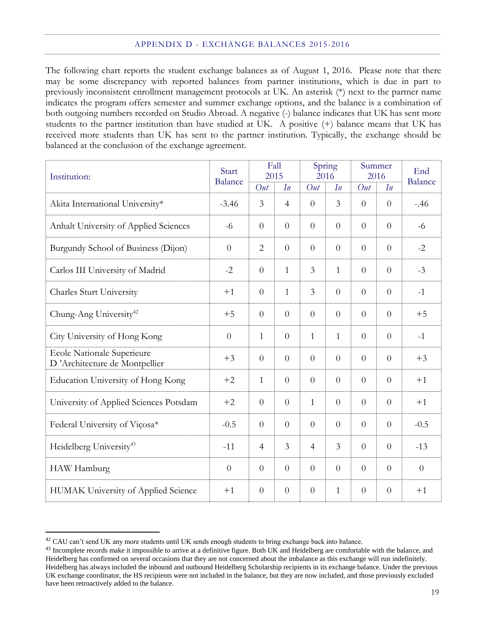The following chart reports the student exchange balances as of August 1, 2016. Please note that there may be some discrepancy with reported balances from partner institutions, which is due in part to previously inconsistent enrollment management protocols at UK. An asterisk (\*) next to the partner name indicates the program offers semester and summer exchange options, and the balance is a combination of both outgoing numbers recorded on Studio Abroad. A negative (-) balance indicates that UK has sent more students to the partner institution than have studied at UK. A positive (+) balance means that UK has received more students than UK has sent to the partner institution. Typically, the exchange should be balanced at the conclusion of the exchange agreement.

| Institution:                                                | Start          |                | Fall<br>2015   |                | Spring<br>2016 |                | Summer<br>2016 | End            |
|-------------------------------------------------------------|----------------|----------------|----------------|----------------|----------------|----------------|----------------|----------------|
|                                                             | <b>Balance</b> | Out            | In             | Out            | In             | Out            | In             | <b>Balance</b> |
| Akita International University*                             | $-3.46$        | $\overline{3}$ | $\overline{4}$ | $\theta$       | $\overline{3}$ | $\Omega$       | $\theta$       | $-.46$         |
| Anhalt University of Applied Sciences                       | $-6$           | $\theta$       | $\theta$       | $\theta$       | $\overline{0}$ | $\Omega$       | $\Omega$       | $-6$           |
| Burgundy School of Business (Dijon)                         | $\theta$       | $\overline{2}$ | $\overline{0}$ | $\theta$       | $\overline{0}$ | $\overline{0}$ | $\overline{0}$ | $-2$           |
| Carlos III University of Madrid                             | $-2$           | $\theta$       | $\mathbf{1}$   | $\mathfrak{Z}$ | $\mathbf{1}$   | $\overline{0}$ | $\overline{0}$ | $-3$           |
| Charles Sturt University                                    | $+1$           | $\theta$       | $\mathbf{1}$   | 3              | $\overline{0}$ | $\overline{0}$ | $\theta$       | $-1$           |
| Chung-Ang University <sup>42</sup>                          | $+5$           | $\theta$       | $\overline{0}$ | $\overline{0}$ | $\overline{0}$ | $\overline{0}$ | $\theta$       | $+5$           |
| City University of Hong Kong                                | $\theta$       | 1              | $\overline{0}$ | $\mathbf{1}$   | $\mathbf{1}$   | $\theta$       | $\theta$       | $-1$           |
| Ecole Nationale Superieure<br>D'Architecture de Montpellier | $+3$           | $\overline{0}$ | $\overline{0}$ | $\overline{0}$ | $\overline{0}$ | $\overline{0}$ | $\theta$       | $+3$           |
| Education University of Hong Kong                           | $+2$           | $\mathbf{1}$   | $\overline{0}$ | $\theta$       | $\overline{0}$ | $\theta$       | $\overline{0}$ | $+1$           |
| University of Applied Sciences Potsdam                      | $+2$           | $\Omega$       | $\overline{0}$ | $\mathbf{1}$   | $\theta$       | $\overline{0}$ | $\Omega$       | $+1$           |
| Federal University of Viçosa*                               | $-0.5$         | $\theta$       | $\overline{0}$ | $\theta$       | $\overline{0}$ | $\overline{0}$ | $\overline{0}$ | $-0.5$         |
| Heidelberg University <sup>43</sup>                         | $-11$          | $\overline{4}$ | $\overline{3}$ | $\overline{4}$ | $\overline{3}$ | $\Omega$       | $\Omega$       | $-13$          |
| HAW Hamburg                                                 | $\overline{0}$ | $\theta$       | $\theta$       | $\overline{0}$ | $\overline{0}$ | $\theta$       | $\theta$       | $\theta$       |
| HUMAK University of Applied Science                         | $+1$           | $\overline{0}$ | $\overline{0}$ | $\theta$       | $\mathbf{1}$   | $\theta$       | $\theta$       | $+1$           |

<sup>&</sup>lt;sup>42</sup> CAU can't send UK any more students until UK sends enough students to bring exchange back into balance.

<sup>&</sup>lt;sup>43</sup> Incomplete records make it impossible to arrive at a definitive figure. Both UK and Heidelberg are comfortable with the balance, and Heidelberg has confirmed on several occasions that they are not concerned about the imbalance as this exchange will run indefinitely. Heidelberg has always included the inbound and outbound Heidelberg Scholarship recipients in its exchange balance. Under the previous UK exchange coordinator, the HS recipients were not included in the balance, but they are now included, and those previously excluded have been retroactively added to the balance.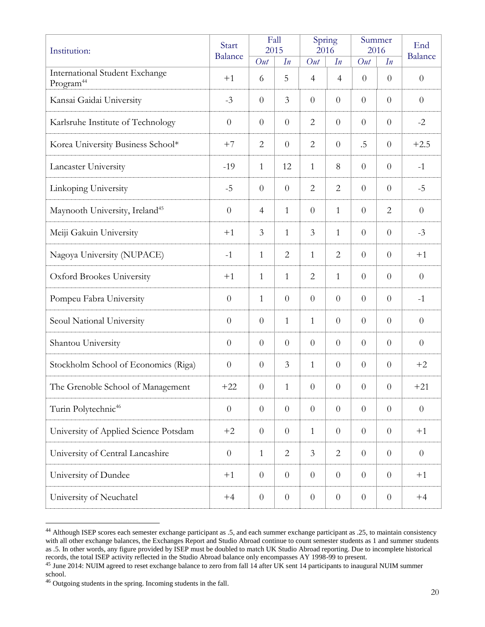| Institution:                                            | Start            |                | Fall<br>2015   |                  | Spring<br>2016   |                | Summer<br>2016 | End            |
|---------------------------------------------------------|------------------|----------------|----------------|------------------|------------------|----------------|----------------|----------------|
|                                                         | <b>Balance</b>   | Out            | In             | Out              | In               | Out            | In             | <b>Balance</b> |
| International Student Exchange<br>Program <sup>44</sup> | $+1$             | 6              | 5              | $\overline{4}$   | $\overline{4}$   | $\overline{0}$ | $\overline{0}$ | $\overline{0}$ |
| Kansai Gaidai University                                | $-3$             | $\theta$       | $\mathfrak{Z}$ | $\overline{0}$   | $\overline{0}$   | $\overline{0}$ | $\theta$       | $\overline{0}$ |
| Karlsruhe Institute of Technology                       | $\overline{0}$   | $\overline{0}$ | $\theta$       | $\overline{2}$   | $\overline{0}$   | $\overline{0}$ | $\overline{0}$ | $-2$           |
| Korea University Business School*                       | $+7$             | $\overline{2}$ | $\theta$       | $\overline{2}$   | $\overline{0}$   | $.5\,$         | $\theta$       | $+2.5$         |
| Lancaster University                                    | $-19$            | $\mathbf{1}$   | 12             | $\mathbf{1}$     | $8\,$            | $\theta$       | $\theta$       | $-1$           |
| Linkoping University                                    | $-5$             | $\theta$       | $\overline{0}$ | $\overline{2}$   | $\overline{2}$   | $\overline{0}$ | $\overline{0}$ | $-5$           |
| Maynooth University, Ireland <sup>45</sup>              | $\theta$         | $\overline{4}$ | $\mathbf{1}$   | $\theta$         | $\mathbf{1}$     | $\overline{0}$ | $\overline{2}$ | $\theta$       |
| Meiji Gakuin University                                 | $+1$             | $\mathfrak{Z}$ | $\mathbf{1}$   | $\mathfrak{Z}$   | $\mathbf{1}$     | $\theta$       | $\theta$       | $-3$           |
| Nagoya University (NUPACE)                              | $-1$             | 1              | 2              | $\mathbf{1}$     | $\overline{2}$   | $\overline{0}$ | $\theta$       | $+1$           |
| Oxford Brookes University                               | $+1$             | $\mathbf{1}$   | $\mathbf{1}$   | $\overline{2}$   | $\mathbf{1}$     | $\overline{0}$ | $\theta$       | $\theta$       |
| Pompeu Fabra University                                 | $\overline{0}$   | $\mathbf{1}$   | $\theta$       | $\theta$         | $\overline{0}$   | $\theta$       | $\theta$       | $-1$           |
| Seoul National University                               | $\theta$         | $\theta$       | $\mathbf{1}$   | $\mathbf{1}$     | $\overline{0}$   | $\overline{0}$ | $\overline{0}$ | $\overline{0}$ |
| Shantou University                                      | $\theta$         | $\overline{0}$ | $\theta$       | $\overline{0}$   | $\overline{0}$   | $\overline{0}$ | $\theta$       | $\theta$       |
| Stockholm School of Economics (Riga)                    | $\theta$         | $\theta$       | $\overline{3}$ | $\mathbf{1}$     | $\overline{0}$   | $\theta$       | $\overline{0}$ | $+2$           |
| The Grenoble School of Management                       | $+22$            | $\overline{0}$ | $\mathbf{1}$   | $\theta$         | $\overline{0}$   | $\theta$       | $\overline{0}$ | $+21$          |
| Turin Polytechnic <sup>46</sup>                         | $\boldsymbol{0}$ | $\theta$       | $\overline{0}$ | $\boldsymbol{0}$ | $\boldsymbol{0}$ | $\overline{0}$ | $\overline{0}$ | $\overline{0}$ |
| University of Applied Science Potsdam                   | $+2$             | $\overline{0}$ | $\overline{0}$ | $\mathbf{1}$     | $\overline{0}$   | $\overline{0}$ | $\overline{0}$ | $+1$           |
| University of Central Lancashire                        | $\overline{0}$   | $\mathbf{1}$   | $\mathbf{2}$   | $\mathfrak{Z}$   | $\overline{2}$   | $\overline{0}$ | $\theta$       | $\overline{0}$ |
| University of Dundee                                    | $+1$             | $\theta$       | $\overline{0}$ | $\theta$         | $\theta$         | $\overline{0}$ | $\overline{0}$ | $+1$           |
| University of Neuchatel                                 | $+4$             | $\overline{0}$ | $\theta$       | $\boldsymbol{0}$ | $\boldsymbol{0}$ | $\overline{0}$ | $\overline{0}$ | $+4$           |

<sup>&</sup>lt;sup>44</sup> Although ISEP scores each semester exchange participant as .5, and each summer exchange participant as .25, to maintain consistency with all other exchange balances, the Exchanges Report and Studio Abroad continue to count semester students as 1 and summer students as .5. In other words, any figure provided by ISEP must be doubled to match UK Studio Abroad reporting. Due to incomplete historical records, the total ISEP activity reflected in the Studio Abroad balance only encompasses AY 1998-99 to present.

<sup>&</sup>lt;sup>45</sup> June 2014: NUIM agreed to reset exchange balance to zero from fall 14 after UK sent 14 participants to inaugural NUIM summer school.

<sup>46</sup> Outgoing students in the spring. Incoming students in the fall.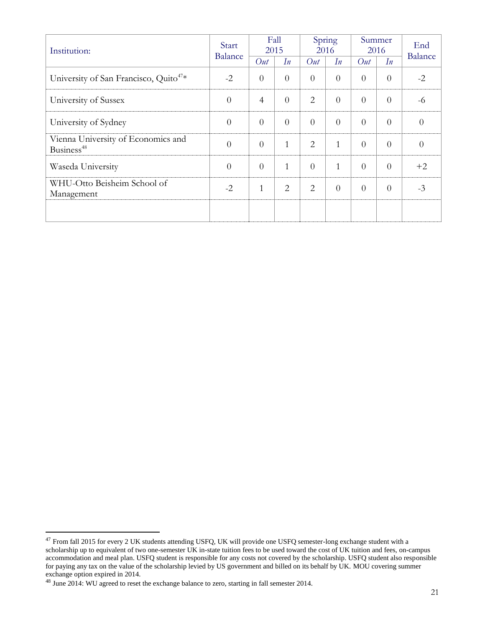| Institution:                                                 | Start<br><b>Balance</b> | Fall<br>2015   |                | Spring<br>2016 |          | Summer<br>2016 |          | End<br><b>Balance</b> |
|--------------------------------------------------------------|-------------------------|----------------|----------------|----------------|----------|----------------|----------|-----------------------|
|                                                              |                         | Out            | In             | Out            | In       | Out            | In       |                       |
| University of San Francisco, Quito <sup>47*</sup>            | $-2$                    | $\overline{0}$ | $\overline{0}$ | $\theta$       | $\theta$ | $\theta$       | $\Omega$ | $-2$                  |
| University of Sussex                                         | $\overline{0}$          | $\overline{4}$ | $\overline{0}$ | $\overline{2}$ | $\Omega$ | $\Omega$       | $\Omega$ | -6                    |
| University of Sydney                                         | $\theta$                | $\Omega$       | $\overline{0}$ | $\theta$       | $\Omega$ | $\Omega$       | $\Omega$ | $\Omega$              |
| Vienna University of Economics and<br>Business <sup>48</sup> | $\theta$                | $\Omega$       | $\mathbf{1}$   | 2              | 1        | $\Omega$       | $\Omega$ | $\Omega$              |
| Waseda University                                            | $\theta$                | $\Omega$       | $\mathbf{1}$   | $\overline{0}$ | 1        | $\theta$       | $\Omega$ | $+2$                  |
| WHU-Otto Beisheim School of<br>Management                    | $-2$                    | $\mathbf{1}$   | $\overline{2}$ | $\overline{2}$ | $\theta$ | $\theta$       | $\Omega$ | $-3$                  |
|                                                              |                         |                |                |                |          |                |          |                       |

 $^{47}$  From fall 2015 for every 2 UK students attending USFQ, UK will provide one USFQ semester-long exchange student with a scholarship up to equivalent of two one-semester UK in-state tuition fees to be used toward the cost of UK tuition and fees, on-campus accommodation and meal plan. USFQ student is responsible for any costs not covered by the scholarship. USFQ student also responsible for paying any tax on the value of the scholarship levied by US government and billed on its behalf by UK. MOU covering summer exchange option expired in 2014.

 $48$  June 2014: WU agreed to reset the exchange balance to zero, starting in fall semester 2014.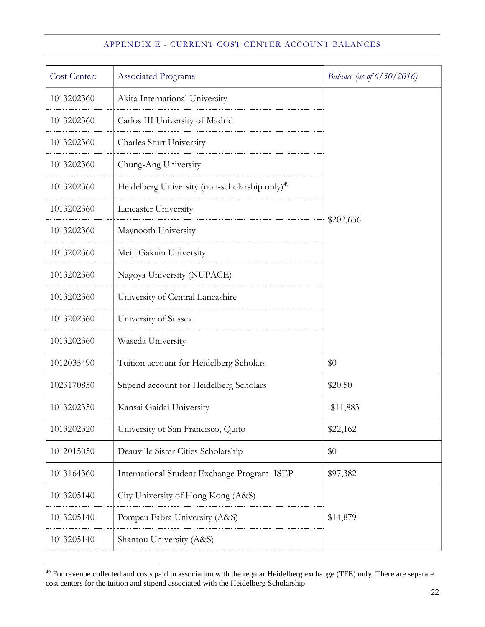# APPENDIX E - CURRENT COST CENTER ACCOUNT BALANCES

| Cost Center: | <b>Associated Programs</b>                                 | Balance (as of 6/30/2016) |
|--------------|------------------------------------------------------------|---------------------------|
| 1013202360   | Akita International University                             |                           |
| 1013202360   | Carlos III University of Madrid                            |                           |
| 1013202360   | Charles Sturt University                                   |                           |
| 1013202360   | Chung-Ang University                                       |                           |
| 1013202360   | Heidelberg University (non-scholarship only) <sup>49</sup> |                           |
| 1013202360   | Lancaster University                                       |                           |
| 1013202360   | Maynooth University                                        | \$202,656                 |
| 1013202360   | Meiji Gakuin University                                    |                           |
| 1013202360   | Nagoya University (NUPACE)                                 |                           |
| 1013202360   | University of Central Lancashire                           |                           |
| 1013202360   | University of Sussex                                       |                           |
| 1013202360   | Waseda University                                          |                           |
| 1012035490   | Tuition account for Heidelberg Scholars                    | \$0                       |
| 1023170850   | Stipend account for Heidelberg Scholars                    | \$20.50                   |
| 1013202350   | Kansai Gaidai University                                   | $-$ \$11,883              |
| 1013202320   | University of San Francisco, Quito                         | \$22,162                  |
| 1012015050   | Deauville Sister Cities Scholarship                        | \$0                       |
| 1013164360   | International Student Exchange Program ISEP                | \$97,382                  |
| 1013205140   | City University of Hong Kong (A&S)                         |                           |
| 1013205140   | Pompeu Fabra University (A&S)                              | \$14,879                  |
| 1013205140   | Shantou University (A&S)                                   |                           |

 For revenue collected and costs paid in association with the regular Heidelberg exchange (TFE) only. There are separate cost centers for the tuition and stipend associated with the Heidelberg Scholarship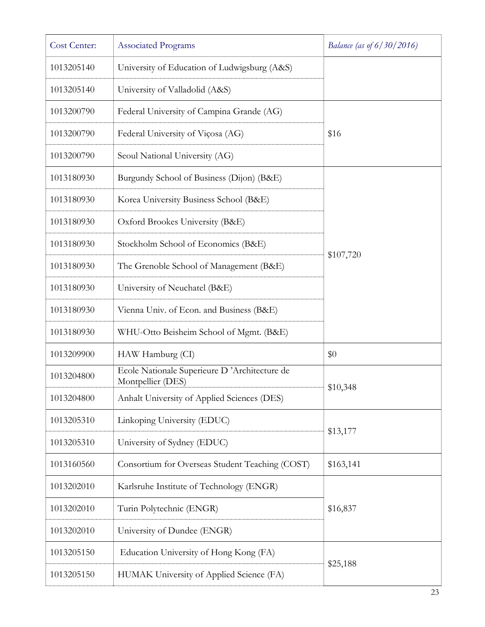| Cost Center: | <b>Associated Programs</b>                                        | Balance (as of $6/30/2016$ ) |
|--------------|-------------------------------------------------------------------|------------------------------|
| 1013205140   | University of Education of Ludwigsburg (A&S)                      |                              |
| 1013205140   | University of Valladolid (A&S)                                    |                              |
| 1013200790   | Federal University of Campina Grande (AG)                         |                              |
| 1013200790   | Federal University of Viçosa (AG)                                 | \$16                         |
| 1013200790   | Seoul National University (AG)                                    |                              |
| 1013180930   | Burgundy School of Business (Dijon) (B&E)                         |                              |
| 1013180930   | Korea University Business School (B&E)                            |                              |
| 1013180930   | Oxford Brookes University (B&E)                                   |                              |
| 1013180930   | Stockholm School of Economics (B&E)                               |                              |
| 1013180930   | The Grenoble School of Management (B&E)                           | \$107,720                    |
| 1013180930   | University of Neuchatel (B&E)                                     |                              |
| 1013180930   | Vienna Univ. of Econ. and Business (B&E)                          |                              |
| 1013180930   | WHU-Otto Beisheim School of Mgmt. (B&E)                           |                              |
| 1013209900   | HAW Hamburg (CI)                                                  | \$0                          |
| 1013204800   | Ecole Nationale Superieure D'Architecture de<br>Montpellier (DES) |                              |
| 1013204800   | Anhalt University of Applied Sciences (DES)                       | \$10,348                     |
| 1013205310   | Linkoping University (EDUC)                                       |                              |
| 1013205310   | University of Sydney (EDUC)                                       | \$13,177                     |
| 1013160560   | Consortium for Overseas Student Teaching (COST)                   | \$163,141                    |
| 1013202010   | Karlsruhe Institute of Technology (ENGR)                          |                              |
| 1013202010   | Turin Polytechnic (ENGR)                                          | \$16,837                     |
| 1013202010   | University of Dundee (ENGR)                                       |                              |
| 1013205150   | Education University of Hong Kong (FA)                            |                              |
| 1013205150   | HUMAK University of Applied Science (FA)                          | \$25,188                     |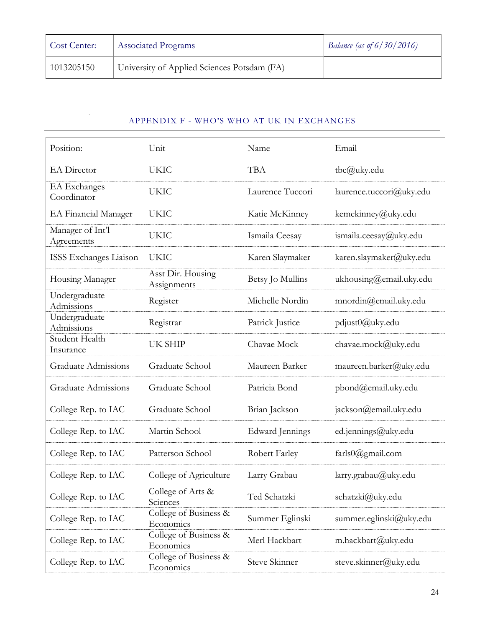| Cost Center: | <b>Associated Programs</b>                  | Balance (as of $6/30/2016$ ) |
|--------------|---------------------------------------------|------------------------------|
| 1013205150   | University of Applied Sciences Potsdam (FA) |                              |

#### APPENDIX F - WHO'S WHO AT UK IN EXCHANGES

| Position:                          | Unit                               | Name                   | Email                       |
|------------------------------------|------------------------------------|------------------------|-----------------------------|
| <b>EA</b> Director                 | <b>UKIC</b>                        | <b>TBA</b>             | tbc@uky.edu                 |
| <b>EA</b> Exchanges<br>Coordinator | <b>UKIC</b>                        | Laurence Tuccori       | laurence.tuccori@uky.edu    |
| EA Financial Manager               | <b>UKIC</b>                        | Katie McKinney         | kemckinney@uky.edu          |
| Manager of Int'l<br>Agreements     | <b>UKIC</b>                        | Ismaila Ceesay         | ismaila.ceesay@uky.edu      |
| ISSS Exchanges Liaison             | <b>UKIC</b>                        | Karen Slaymaker        | karen.slaymaker@uky.edu     |
| Housing Manager                    | Asst Dir. Housing<br>Assignments   | Betsy Jo Mullins       | ukhousing@email.uky.edu     |
| Undergraduate<br>Admissions        | Register                           | Michelle Nordin        | $m\nu$ in $@$ email.uky.edu |
| Undergraduate<br>Admissions        | Registrar                          | Patrick Justice        | pdjust0@uky.edu             |
| Student Health<br>Insurance        | UK SHIP                            | Chavae Mock            | chavae.mock@uky.edu         |
| <b>Graduate Admissions</b>         | Graduate School                    | Maureen Barker         | maureen.barker@uky.edu      |
| <b>Graduate Admissions</b>         | Graduate School                    | Patricia Bond          | pbond@email.uky.edu         |
| College Rep. to IAC                | Graduate School                    | Brian Jackson          | jackson@email.uky.edu       |
| College Rep. to IAC                | Martin School                      | <b>Edward Jennings</b> | ed.jennings@uky.edu         |
| College Rep. to IAC                | Patterson School                   | Robert Farley          | farls0@gmail.com            |
| College Rep. to IAC                | College of Agriculture             | Larry Grabau           | larry.grabau@uky.edu        |
| College Rep. to IAC                | College of Arts &<br>Sciences      | Ted Schatzki           | schatzki@uky.edu            |
| College Rep. to IAC                | College of Business &<br>Economics | Summer Eglinski        | summer.eglinski@uky.edu     |
| College Rep. to IAC                | College of Business &<br>Economics | Merl Hackbart          | m.hackbart@uky.edu          |
| College Rep. to IAC                | College of Business &<br>Economics | Steve Skinner          | steve.skinner@uky.edu       |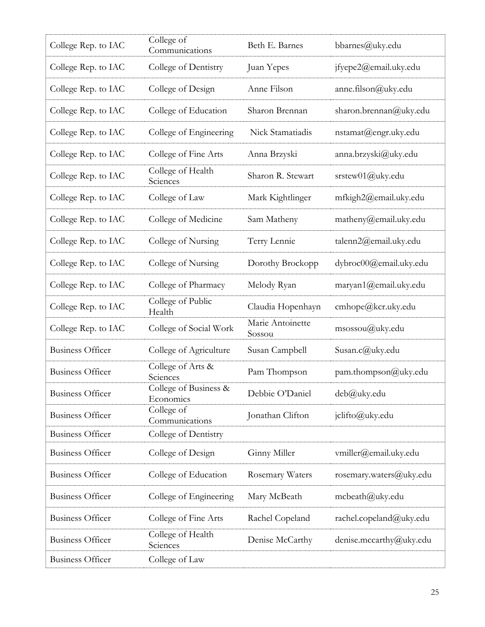| College Rep. to IAC     | College of<br>Communications       | Beth E. Barnes             | bbarnes@uky.edu         |
|-------------------------|------------------------------------|----------------------------|-------------------------|
| College Rep. to IAC     | College of Dentistry               | Juan Yepes                 | jfyepe2@email.uky.edu   |
| College Rep. to IAC     | College of Design                  | Anne Filson                | anne.filson@uky.edu     |
| College Rep. to IAC     | College of Education               | Sharon Brennan             | sharon.brennan@uky.edu  |
| College Rep. to IAC     | College of Engineering             | Nick Stamatiadis           | nstamat@engr.uky.edu    |
| College Rep. to IAC     | College of Fine Arts               | Anna Brzyski               | anna.brzyski@uky.edu    |
| College Rep. to IAC     | College of Health<br>Sciences      | Sharon R. Stewart          | srstew01@uky.edu        |
| College Rep. to IAC     | College of Law                     | Mark Kightlinger           | mfkigh2@email.uky.edu   |
| College Rep. to IAC     | College of Medicine                | Sam Matheny                | matheny@email.uky.edu   |
| College Rep. to IAC     | College of Nursing                 | Terry Lennie               | talenn2@email.uky.edu   |
| College Rep. to IAC     | College of Nursing                 | Dorothy Brockopp           | dybroc00@email.uky.edu  |
| College Rep. to IAC     | College of Pharmacy                | Melody Ryan                | maryan1@email.uky.edu   |
| College Rep. to IAC     | College of Public<br>Health        | Claudia Hopenhayn          | cmhope@kcr.uky.edu      |
| College Rep. to IAC     | College of Social Work             | Marie Antoinette<br>Sossou | msossou@uky.edu         |
| <b>Business Officer</b> | College of Agriculture             | Susan Campbell             | Susan.c@uky.edu         |
| <b>Business Officer</b> | College of Arts &<br>Sciences      | Pam Thompson               | pam.thompson@uky.edu    |
| <b>Business Officer</b> | College of Business &<br>Economics | Debbie O'Daniel            | deb@uky.edu             |
| <b>Business Officer</b> | College of<br>Communications       | Jonathan Clifton           | jclifto@uky.edu         |
| <b>Business Officer</b> | College of Dentistry               |                            |                         |
| <b>Business Officer</b> | College of Design                  | Ginny Miller               | vmiller@email.uky.edu   |
| <b>Business Officer</b> | College of Education               | Rosemary Waters            | rosemary.waters@uky.edu |
| <b>Business Officer</b> | College of Engineering             | Mary McBeath               | mcbeath@uky.edu         |
| <b>Business Officer</b> | College of Fine Arts               | Rachel Copeland            | rachel.copeland@uky.edu |
| <b>Business Officer</b> | College of Health<br>Sciences      | Denise McCarthy            | denise.mccarthy@uky.edu |
| <b>Business Officer</b> | College of Law                     |                            |                         |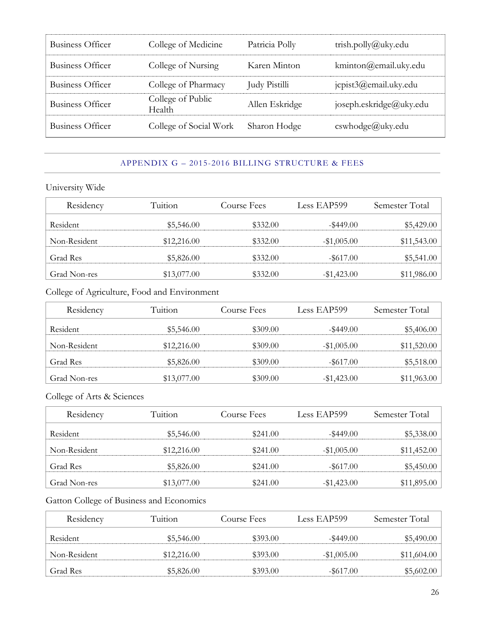| Business Officer        | College of Medicine         | Patricia Polly | trish.polly@uky.edu          |
|-------------------------|-----------------------------|----------------|------------------------------|
| Business Officer        | College of Nursing          | Karen Minton   | kminton@email.uky.edu        |
| <b>Business Officer</b> | College of Pharmacy         | Judy Pistilli  | jcpist3@email.uky.edu        |
| <b>Business Officer</b> | College of Public<br>Health | Allen Eskridge | joseph.eskridge@uky.edu      |
| Business Officer        | College of Social Work      | Sharon Hodge   | $\text{cswhodge}(a)$ uky.edu |

#### APPENDIX G – 2015-2016 BILLING STRUCTURE & FEES

University Wide

| Residency    | Tuition     | Course Fees | Less EAP599   | Semester Total |
|--------------|-------------|-------------|---------------|----------------|
| Resident     | \$5,546.00  | \$332.00    | $-$ \$449.00  | \$5,429.00     |
| Non-Resident | \$12,216.00 | \$332.00    | $-\$1,005.00$ | \$11,543.00    |
| Grad Res     | \$5,826.00  | \$332.00    | $-$ \$617.00  | \$5,541.00     |
| Grad Non-res | \$13,077.00 | \$332.00    | $-\$1,423.00$ | \$11,986.00    |

# College of Agriculture, Food and Environment

| Residency    | Tuition     | Course Fees | Less EAP599   | Semester Total |
|--------------|-------------|-------------|---------------|----------------|
| Resident     | \$5,546.00  | \$309.00    | $-$ \$449.00  | \$5,406.00     |
| Non-Resident | \$12,216.00 | \$309.00    | $-\$1,005.00$ | \$11,520.00    |
| Grad Res     | \$5,826.00  | \$309.00    | $-$ \$617.00  | \$5,518.00     |
| Grad Non-res | \$13,077.00 | \$309.00    | $-\$1,423.00$ | \$11,963.00    |

College of Arts & Sciences

| Residency    | Tuition     | Course Fees | Less EAP599   | Semester Total |
|--------------|-------------|-------------|---------------|----------------|
| Resident     | \$5,546.00  | \$241.00    | $-$ \$449.00  | \$5,338.00     |
| Non-Resident | \$12,216.00 | \$241.00    | $-\$1,005.00$ | \$11,452.00    |
| Grad Res     | \$5,826.00  | \$241.00    | $-$ \$617.00  | \$5,450.00     |
| Grad Non-res | \$13,077.00 | \$241.00    | $-\$1,423.00$ | \$11,895.00    |

# Gatton College of Business and Economics

| Residency    | Tuition     | Course Fees | Less EAP599   | Semester Total |
|--------------|-------------|-------------|---------------|----------------|
| Resident     | \$5,546.00  | \$393.00    | $-$ \$449.00  | \$5,490.00     |
| Non-Resident | \$12,216.00 | \$393.00    | $-\$1,005.00$ | \$11,604.00    |
| Grad Res     | \$5,826.00  | \$393.00    | $-$ \$617.00  | \$5,602.00     |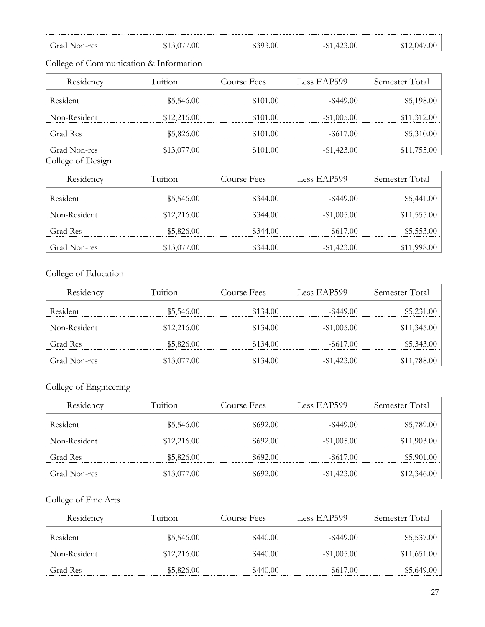| Grad Non-res | \$13,077.00 | \$393.00 | $-$ \$1,423.00 | \$12,047.00 |
|--------------|-------------|----------|----------------|-------------|

# Residency Tuition Course Fees Less EAP599 Semester Total Resident \$5,546.00 \$5,546.00 \$101.00 -\$449.00 \$5,198.00 Non-Resident \$12,216.00 \$101.00 -\$1,005.00 \$11,312.00 Grad Res  $$5,826.00$   $$101.00$   $$617.00$   $$5,310.00$ Grad Non-res \$13,077.00 \$101.00 -\$1,423.00 \$11,755.00 College of Design Residency Tuition Course Fees Less EAP599 Semester Total Resident \$5,546.00 \$5,546.00 \$344.00  $-$ \$449.00 \$5,441.00 Non-Resident \$12,216.00 \$344.00 -\$1,005.00 \$11,555.00 Grad Res  $$5,826.00$   $$344.00$   $$617.00$   $$5,553.00$

# College of Communication & Information

#### College of Education

| Residency       | Tuition     | Course Fees | Less EAP599   | Semester Total |
|-----------------|-------------|-------------|---------------|----------------|
| <b>Resident</b> | \$5,546.00  | \$134.00    | $-$ \$449.00  | \$5,231.00     |
| Non-Resident    | \$12,216.00 | \$134.00    | $-\$1,005.00$ | \$11,345.00    |
| Grad Res        | \$5,826.00  | \$134.00    | $-$ \$617.00  | \$5,343.00     |
| Grad Non-res    | \$13,077.00 | \$134.00    | $-\$1,423.00$ | \$11,788.00    |

Grad Non-res \$13,077.00 \$344.00 -\$1,423.00 \$11,998.00

# College of Engineering

| Residency    | Tuition     | Course Fees | Less EAP599   | Semester Total |
|--------------|-------------|-------------|---------------|----------------|
| Resident     | \$5,546.00  | \$692.00    | $-$ \$449.00  | \$5,789.00     |
| Non-Resident | \$12,216.00 | \$692.00    | $-\$1,005.00$ | \$11,903.00    |
| Grad Res     | \$5,826.00  | \$692.00    | $-$ \$617.00  | \$5,901.00     |
| Grad Non-res | \$13,077.00 | \$692.00    | $-\$1,423.00$ | \$12,346.00    |

#### College of Fine Arts

| Residency    | Tuition     | Course Fees | Less EAP599   | Semester Total |
|--------------|-------------|-------------|---------------|----------------|
| Resident     | \$5,546.00  | \$440.00    | $-$ \$449.00  | \$5,537.00     |
| Non-Resident | \$12,216.00 | \$440.00    | $-\$1,005.00$ | \$11,651.00    |
| Grad Res     | \$5,826.00  | \$440.00    | $-$ \$617.00  | \$5,649.00     |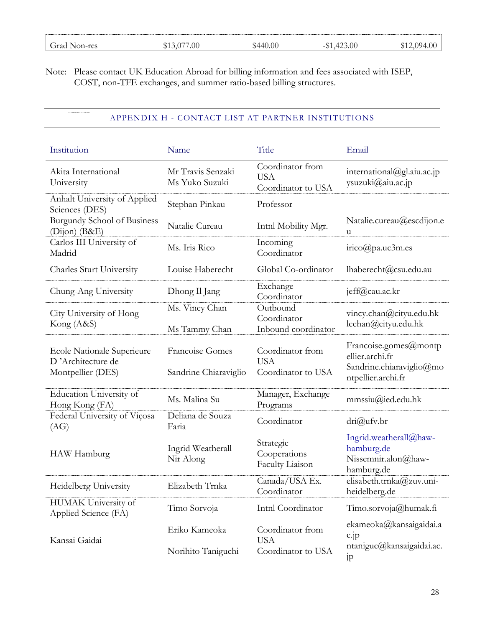| Grad Non-res | 077.00<br>$\left( \frac{1}{2} \right)$ | \$440.00 | 423.00 | -094.00 |
|--------------|----------------------------------------|----------|--------|---------|
|              |                                        |          |        |         |

Note: Please contact UK Education Abroad for billing information and fees associated with ISEP, COST, non-TFE exchanges, and summer ratio-based billing structures.

 $\begin{tabular}{|c|c|c|c|} \hline \quad \quad & \quad \quad & \quad \quad & \quad \quad \\ \hline \quad \quad & \quad \quad & \quad \quad & \quad \quad \\ \hline \end{tabular}$ 

# APPENDIX H - CONTACT LIST AT PARTNER INSTITUTIONS

| Institution                                                                 | Name                                     | Title                                                | Email                                                                                      |
|-----------------------------------------------------------------------------|------------------------------------------|------------------------------------------------------|--------------------------------------------------------------------------------------------|
| Akita International<br>University                                           | Mr Travis Senzaki<br>Ms Yuko Suzuki      | Coordinator from<br><b>USA</b><br>Coordinator to USA | international@gl.aiu.ac.jp<br>ysuzuki@aiu.ac.jp                                            |
| Anhalt University of Applied<br>Sciences (DES)                              | Stephan Pinkau                           | Professor                                            |                                                                                            |
| <b>Burgundy School of Business</b><br>$(Dijon)$ $(B&E)$                     | Natalie Cureau                           | Intnl Mobility Mgr.                                  | Natalie.cureau@escdijon.e<br>u                                                             |
| Carlos III University of<br>Madrid                                          | Ms. Iris Rico                            | Incoming<br>Coordinator                              | $irico(\partial p_a.uc3m.es$                                                               |
| <b>Charles Sturt University</b>                                             | Louise Haberecht                         | Global Co-ordinator                                  | lhaberecht@csu.edu.au                                                                      |
| Chung-Ang University                                                        | Dhong Il Jang                            | Exchange<br>Coordinator                              | jeff@cau.ac.kr                                                                             |
| City University of Hong<br>Kong (A&S)                                       | Ms. Vincy Chan<br>Ms Tammy Chan          | Outbound<br>Coordinator<br>Inbound coordinator       | vincy.chan@cityu.edu.hk<br>lcchan@cityu.edu.hk                                             |
| <b>Ecole Nationale Superieure</b><br>D'Architecture de<br>Montpellier (DES) | Francoise Gomes<br>Sandrine Chiaraviglio | Coordinator from<br><b>USA</b><br>Coordinator to USA | Francoise.gomes@montp<br>ellier.archi.fr<br>Sandrine.chiaraviglio@mo<br>ntpellier.archi.fr |
| Education University of<br>Hong Kong (FA)                                   | Ms. Malina Su                            | Manager, Exchange<br>Programs                        | mmssiu@ied.edu.hk                                                                          |
| Federal University of Viçosa<br>(AG)                                        | Deliana de Souza<br>Faria                | Coordinator                                          | dri@ufv.br                                                                                 |
| HAW Hamburg                                                                 | Ingrid Weatherall<br>Nir Along           | Strategic<br>Cooperations<br>Faculty Liaison         | Ingrid.weatherall@haw-<br>hamburg.de<br>Nissemnir.alon@haw-<br>hamburg.de                  |
| Heidelberg University                                                       | Elizabeth Trnka                          | Canada/USA Ex.<br>Coordinator                        | elisabeth.trnka@zuv.uni-<br>heidelberg.de                                                  |
| HUMAK University of<br>Applied Science (FA)                                 | Timo Sorvoja                             | Intnl Coordinator                                    | Timo.sorvoja@humak.fi                                                                      |
| Kansai Gaidai                                                               | Eriko Kameoka<br>Norihito Taniguchi      | Coordinator from<br><b>USA</b><br>Coordinator to USA | ekameoka@kansaigaidai.a<br>$c$ .jp<br>ntaniguc@kansaigaidai.ac.                            |
|                                                                             |                                          |                                                      | jp                                                                                         |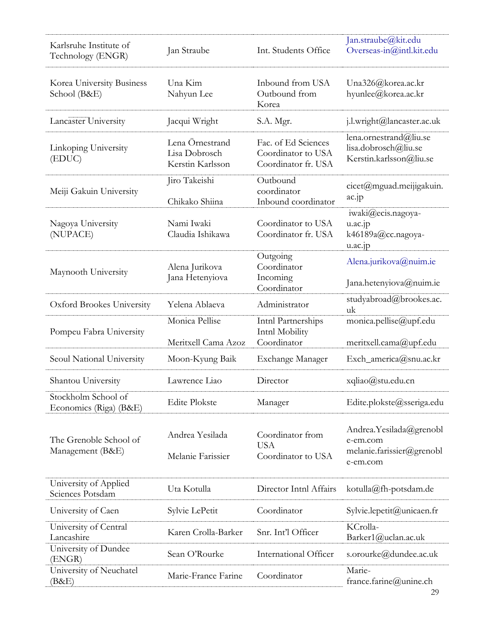|                                               |                                                      |                                                                  | Jan.straube@kit.edu                                                          |
|-----------------------------------------------|------------------------------------------------------|------------------------------------------------------------------|------------------------------------------------------------------------------|
| Karlsruhe Institute of<br>Technology (ENGR)   | Jan Straube                                          | Int. Students Office                                             | Overseas-in@intl.kit.edu                                                     |
| Korea University Business<br>School (B&E)     | Una Kim<br>Nahyun Lee                                | Inbound from USA<br>Outbound from<br>Korea                       | Una326@korea.ac.kr<br>hyunlee@korea.ac.kr                                    |
| Lancaster University                          | Jacqui Wright                                        | S.A. Mgr.                                                        | j.l.wright@lancaster.ac.uk                                                   |
| Linkoping University<br>(EDUC)                | Lena Örnestrand<br>Lisa Dobrosch<br>Kerstin Karlsson | Fac. of Ed Sciences<br>Coordinator to USA<br>Coordinator fr. USA | lena.ornestrand@liu.se<br>lisa.dobrosch@liu.se<br>Kerstin.karlsson@liu.se    |
| Meiji Gakuin University                       | Jiro Takeishi<br>Chikako Shiina                      | Outbound<br>coordinator<br>Inbound coordinator                   | cicet@mguad.meijigakuin.<br>ac.jp                                            |
| Nagoya University<br>(NUPACE)                 | Nami Iwaki<br>Claudia Ishikawa                       | Coordinator to USA<br>Coordinator fr. USA                        | iwaki@ecis.nagoya-<br>u.ac.jp<br>k46189a@cc.nagoya-<br>u.ac.jp               |
| Maynooth University                           | Alena Jurikova<br>Jana Hetenyiova                    | Outgoing<br>Coordinator<br>Incoming                              | Alena.jurikova@nuim.ie<br>Jana.hetenyiova@nuim.ie                            |
| Oxford Brookes University                     | Yelena Ablaeva                                       | Coordinator<br>Administrator                                     | studyabroad@brookes.ac.<br>uk                                                |
| Pompeu Fabra University                       | Monica Pellise                                       | Inthl Partnerships<br>Intnl Mobility                             | monica.pellise@upf.edu                                                       |
|                                               | Meritxell Cama Azoz                                  | Coordinator                                                      | meritxell.cama@upf.edu                                                       |
| Seoul National University                     | Moon-Kyung Baik                                      | Exchange Manager                                                 | Exch_america@snu.ac.kr                                                       |
| Shantou University                            | Lawrence Liao                                        | Director                                                         | xqliao@stu.edu.cn                                                            |
| Stockholm School of<br>Economics (Riga) (B&E) | <b>Edite Plokste</b>                                 | Manager                                                          | Edite.plokste@sseriga.edu                                                    |
| The Grenoble School of<br>Management (B&E)    | Andrea Yesilada<br>Melanie Farissier                 | Coordinator from<br><b>USA</b><br>Coordinator to USA             | Andrea.Yesilada@grenobl<br>e-em.com<br>melanie.farissier@grenobl<br>e-em.com |
| University of Applied<br>Sciences Potsdam     | Uta Kotulla                                          | Director Intnl Affairs                                           | kotulla@fh-potsdam.de                                                        |
| University of Caen                            | Sylvie LePetit                                       | Coordinator                                                      | Sylvie.lepetit@unicaen.fr                                                    |
| University of Central<br>Lancashire           | Karen Crolla-Barker                                  | Snr. Int'l Officer                                               | KCrolla-<br>Barker1@uclan.ac.uk                                              |
| University of Dundee<br>(ENGR)                | Sean O'Rourke                                        | International Officer                                            | s.orourke@dundee.ac.uk                                                       |
| University of Neuchatel<br>(B&E)              | Marie-France Farine                                  | Coordinator                                                      | Marie-<br>france.farine@unine.ch                                             |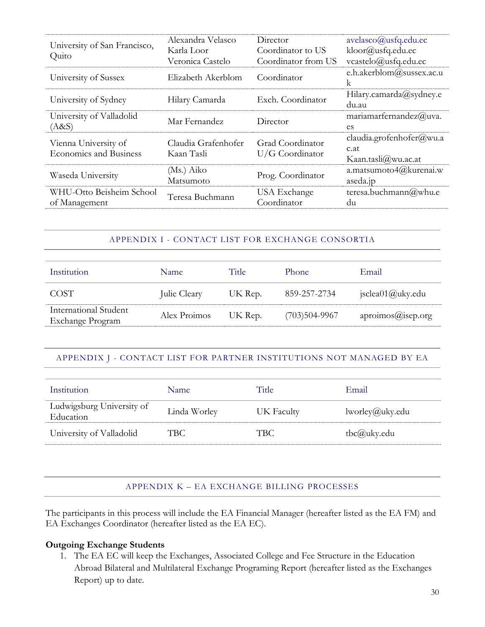| University of San Francisco,<br>Quito                 | Alexandra Velasco<br>Karla Loor<br>Veronica Castelo | Director<br>Coordinator to US<br>Coordinator from US | avelasco@usfq.edu.ec<br>kloor@usfq.edu.ec<br>vcastelo@usfq.edu.ec |
|-------------------------------------------------------|-----------------------------------------------------|------------------------------------------------------|-------------------------------------------------------------------|
| University of Sussex                                  | Elizabeth Akerblom                                  | Coordinator                                          | e.h.akerblom@sussex.ac.u<br>$\mathsf{k}$                          |
| University of Sydney                                  | Hilary Camarda                                      | Exch. Coordinator                                    | Hilary.camarda@sydney.e<br>du.au                                  |
| University of Valladolid<br>(A&S)                     | Mar Fernandez                                       | Director                                             | maximarfernandez@uva.<br>es                                       |
| Vienna University of<br><b>Economics and Business</b> | Claudia Grafenhofer<br>Kaan Tasli                   | Grad Coordinator<br>$U/G$ Coordinator                | claudia.grofenhofer@wu.a<br>c.at<br>Kaan.tasli $@$ wu.ac.at       |
| Waseda University                                     | (Ms.) Aiko<br>Matsumoto                             | Prog. Coordinator                                    | a.matsumoto4@kurenai.w<br>aseda.jp                                |
| WHU-Otto Beisheim School<br>of Management             | Teresa Buchmann                                     | USA Exchange<br>Coordinator                          | teresa.buchmann@whu.e<br>du                                       |

# APPENDIX I - CONTACT LIST FOR EXCHANGE CONSORTIA

| Institution                               | <b>Name</b>  | Title   | <b>Phone</b>    | Email                            |
|-------------------------------------------|--------------|---------|-----------------|----------------------------------|
| COST.                                     | Julie Cleary | UK Rep. | 859-257-2734    | $jsclea01$ ( <i>a</i> ) uky .edu |
| International Student<br>Exchange Program | Alex Proimos | UK Rep. | $(703)504-9967$ | aproimos@isep.org                |

# APPENDIX J - CONTACT LIST FOR PARTNER INSTITUTIONS NOT MANAGED BY EA

| Institution                            | <b>Name</b>  | Title      | Email           |
|----------------------------------------|--------------|------------|-----------------|
| Ludwigsburg University of<br>Education | Linda Worley | UK Faculty | lworley@uky.edu |
| University of Valladolid               | TBC -        | TBC        | $the @$ uky.edu |

#### APPENDIX K – EA EXCHANGE BILLING PROCESSES

The participants in this process will include the EA Financial Manager (hereafter listed as the EA FM) and EA Exchanges Coordinator (hereafter listed as the EA EC).

#### **Outgoing Exchange Students**

1. The EA EC will keep the Exchanges, Associated College and Fee Structure in the Education Abroad Bilateral and Multilateral Exchange Programing Report (hereafter listed as the Exchanges Report) up to date.